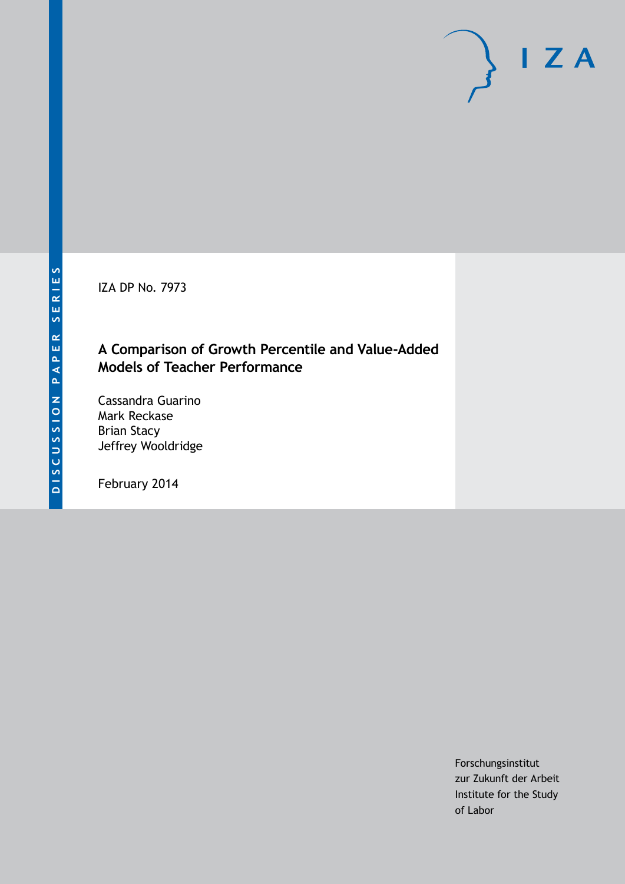IZA DP No. 7973

## **A Comparison of Growth Percentile and Value-Added Models of Teacher Performance**

Cassandra Guarino Mark Reckase Brian Stacy Jeffrey Wooldridge

February 2014

Forschungsinstitut zur Zukunft der Arbeit Institute for the Study of Labor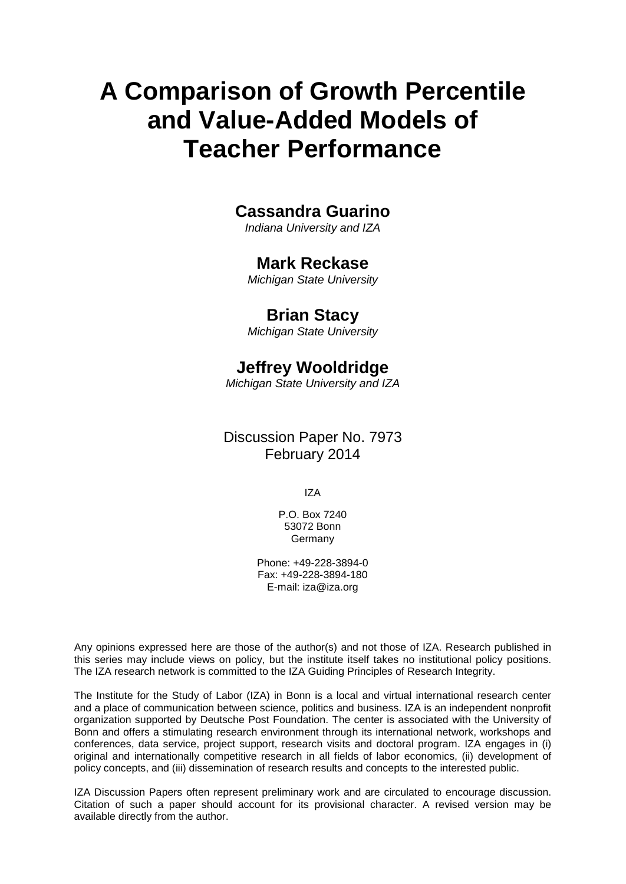# **A Comparison of Growth Percentile and Value-Added Models of Teacher Performance**

## **Cassandra Guarino**

*Indiana University and IZA*

## **Mark Reckase**

*Michigan State University*

## **Brian Stacy**

*Michigan State University*

## **Jeffrey Wooldridge**

*Michigan State University and IZA*

Discussion Paper No. 7973 February 2014

IZA

P.O. Box 7240 53072 Bonn Germany

Phone: +49-228-3894-0 Fax: +49-228-3894-180 E-mail: [iza@iza.org](mailto:iza@iza.org)

Any opinions expressed here are those of the author(s) and not those of IZA. Research published in this series may include views on policy, but the institute itself takes no institutional policy positions. The IZA research network is committed to the IZA Guiding Principles of Research Integrity.

The Institute for the Study of Labor (IZA) in Bonn is a local and virtual international research center and a place of communication between science, politics and business. IZA is an independent nonprofit organization supported by Deutsche Post Foundation. The center is associated with the University of Bonn and offers a stimulating research environment through its international network, workshops and conferences, data service, project support, research visits and doctoral program. IZA engages in (i) original and internationally competitive research in all fields of labor economics, (ii) development of policy concepts, and (iii) dissemination of research results and concepts to the interested public.

<span id="page-1-0"></span>IZA Discussion Papers often represent preliminary work and are circulated to encourage discussion. Citation of such a paper should account for its provisional character. A revised version may be available directly from the author.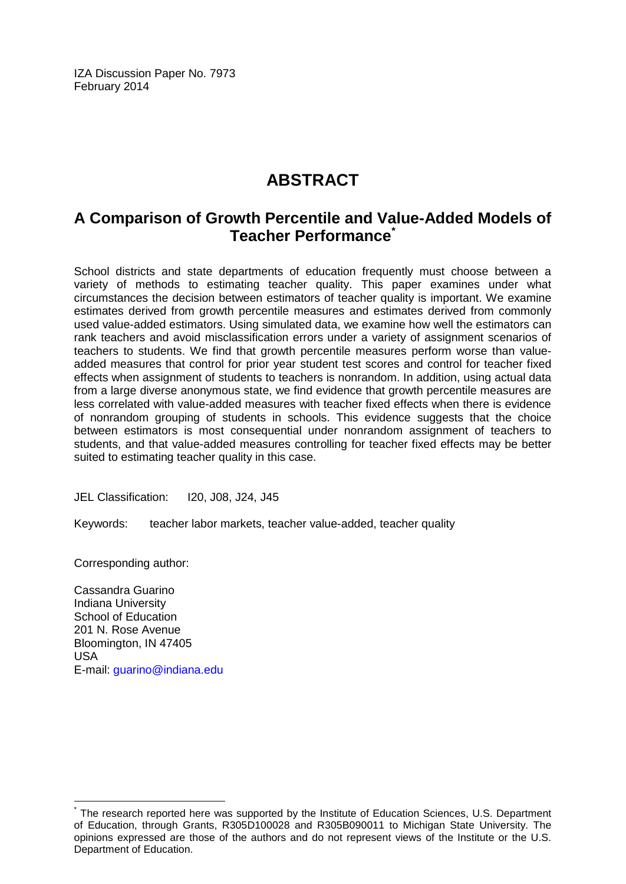IZA Discussion Paper No. 7973 February 2014

# **ABSTRACT**

# **A Comparison of Growth Percentile and Value-Added Models of Teacher Performance[\\*](#page-1-0)**

School districts and state departments of education frequently must choose between a variety of methods to estimating teacher quality. This paper examines under what circumstances the decision between estimators of teacher quality is important. We examine estimates derived from growth percentile measures and estimates derived from commonly used value-added estimators. Using simulated data, we examine how well the estimators can rank teachers and avoid misclassification errors under a variety of assignment scenarios of teachers to students. We find that growth percentile measures perform worse than valueadded measures that control for prior year student test scores and control for teacher fixed effects when assignment of students to teachers is nonrandom. In addition, using actual data from a large diverse anonymous state, we find evidence that growth percentile measures are less correlated with value-added measures with teacher fixed effects when there is evidence of nonrandom grouping of students in schools. This evidence suggests that the choice between estimators is most consequential under nonrandom assignment of teachers to students, and that value-added measures controlling for teacher fixed effects may be better suited to estimating teacher quality in this case.

JEL Classification: I20, J08, J24, J45

Keywords: teacher labor markets, teacher value-added, teacher quality

Corresponding author:

Cassandra Guarino Indiana University School of Education 201 N. Rose Avenue Bloomington, IN 47405 USA E-mail: [guarino@indiana.edu](mailto:guarino@indiana.edu)

The research reported here was supported by the Institute of Education Sciences, U.S. Department of Education, through Grants, R305D100028 and R305B090011 to Michigan State University. The opinions expressed are those of the authors and do not represent views of the Institute or the U.S. Department of Education.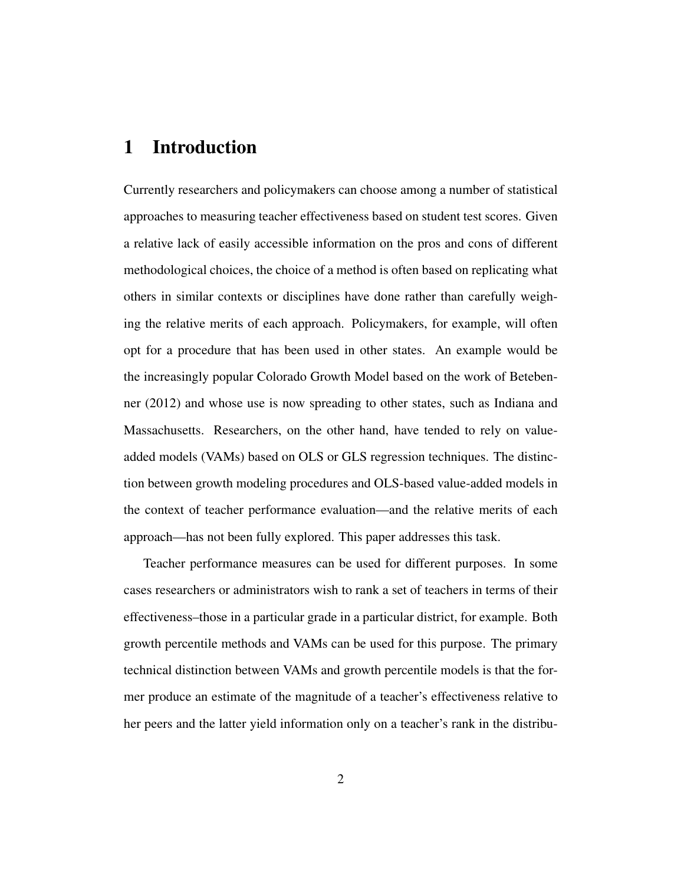## 1 Introduction

Currently researchers and policymakers can choose among a number of statistical approaches to measuring teacher effectiveness based on student test scores. Given a relative lack of easily accessible information on the pros and cons of different methodological choices, the choice of a method is often based on replicating what others in similar contexts or disciplines have done rather than carefully weighing the relative merits of each approach. Policymakers, for example, will often opt for a procedure that has been used in other states. An example would be the increasingly popular Colorado Growth Model based on the work of Betebenner (2012) and whose use is now spreading to other states, such as Indiana and Massachusetts. Researchers, on the other hand, have tended to rely on valueadded models (VAMs) based on OLS or GLS regression techniques. The distinction between growth modeling procedures and OLS-based value-added models in the context of teacher performance evaluation—and the relative merits of each approach—has not been fully explored. This paper addresses this task.

Teacher performance measures can be used for different purposes. In some cases researchers or administrators wish to rank a set of teachers in terms of their effectiveness–those in a particular grade in a particular district, for example. Both growth percentile methods and VAMs can be used for this purpose. The primary technical distinction between VAMs and growth percentile models is that the former produce an estimate of the magnitude of a teacher's effectiveness relative to her peers and the latter yield information only on a teacher's rank in the distribu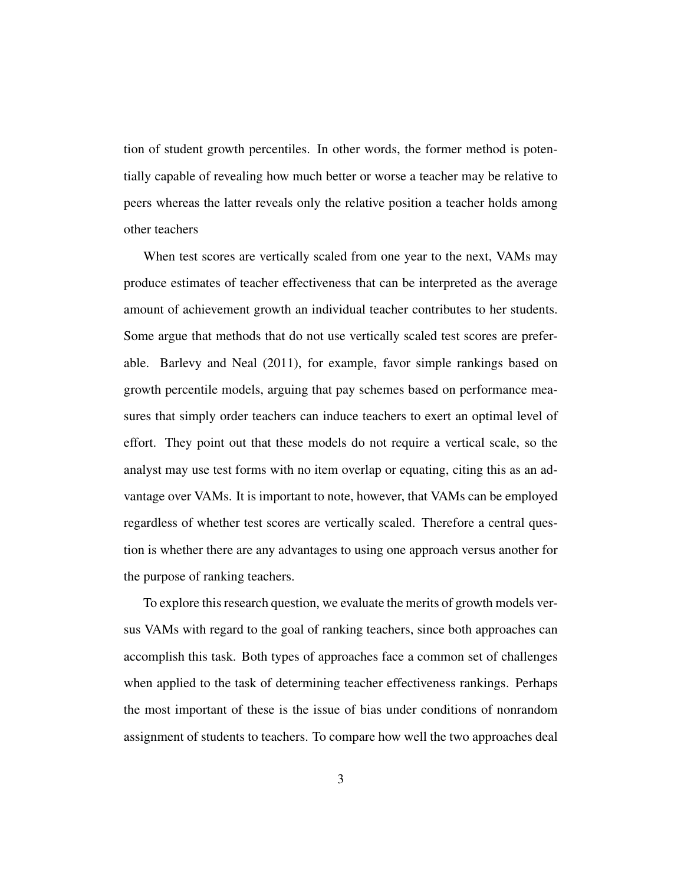tion of student growth percentiles. In other words, the former method is potentially capable of revealing how much better or worse a teacher may be relative to peers whereas the latter reveals only the relative position a teacher holds among other teachers

When test scores are vertically scaled from one year to the next, VAMs may produce estimates of teacher effectiveness that can be interpreted as the average amount of achievement growth an individual teacher contributes to her students. Some argue that methods that do not use vertically scaled test scores are preferable. Barlevy and Neal (2011), for example, favor simple rankings based on growth percentile models, arguing that pay schemes based on performance measures that simply order teachers can induce teachers to exert an optimal level of effort. They point out that these models do not require a vertical scale, so the analyst may use test forms with no item overlap or equating, citing this as an advantage over VAMs. It is important to note, however, that VAMs can be employed regardless of whether test scores are vertically scaled. Therefore a central question is whether there are any advantages to using one approach versus another for the purpose of ranking teachers.

To explore this research question, we evaluate the merits of growth models versus VAMs with regard to the goal of ranking teachers, since both approaches can accomplish this task. Both types of approaches face a common set of challenges when applied to the task of determining teacher effectiveness rankings. Perhaps the most important of these is the issue of bias under conditions of nonrandom assignment of students to teachers. To compare how well the two approaches deal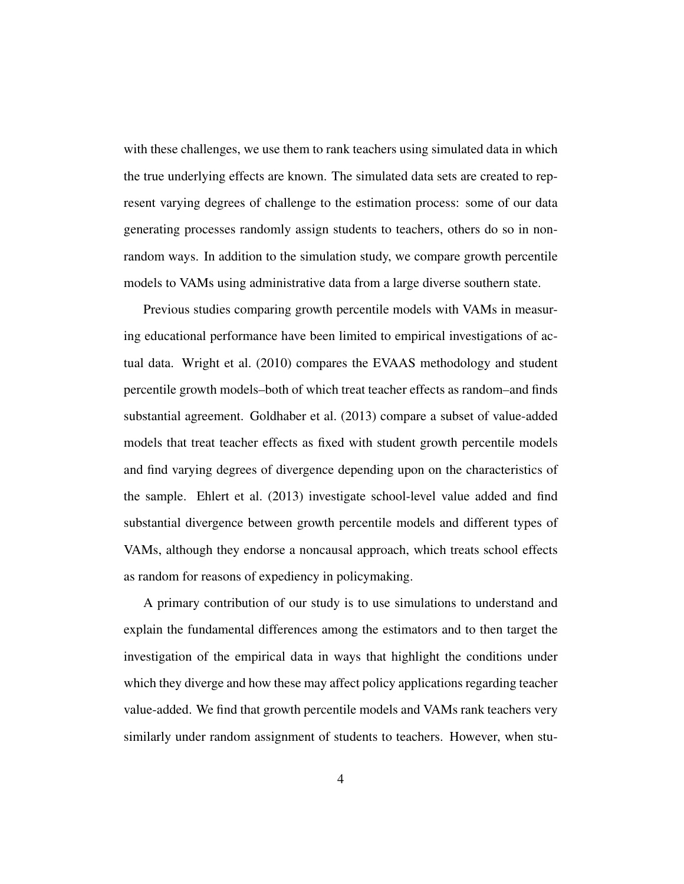with these challenges, we use them to rank teachers using simulated data in which the true underlying effects are known. The simulated data sets are created to represent varying degrees of challenge to the estimation process: some of our data generating processes randomly assign students to teachers, others do so in nonrandom ways. In addition to the simulation study, we compare growth percentile models to VAMs using administrative data from a large diverse southern state.

Previous studies comparing growth percentile models with VAMs in measuring educational performance have been limited to empirical investigations of actual data. Wright et al. (2010) compares the EVAAS methodology and student percentile growth models–both of which treat teacher effects as random–and finds substantial agreement. Goldhaber et al. (2013) compare a subset of value-added models that treat teacher effects as fixed with student growth percentile models and find varying degrees of divergence depending upon on the characteristics of the sample. Ehlert et al. (2013) investigate school-level value added and find substantial divergence between growth percentile models and different types of VAMs, although they endorse a noncausal approach, which treats school effects as random for reasons of expediency in policymaking.

A primary contribution of our study is to use simulations to understand and explain the fundamental differences among the estimators and to then target the investigation of the empirical data in ways that highlight the conditions under which they diverge and how these may affect policy applications regarding teacher value-added. We find that growth percentile models and VAMs rank teachers very similarly under random assignment of students to teachers. However, when stu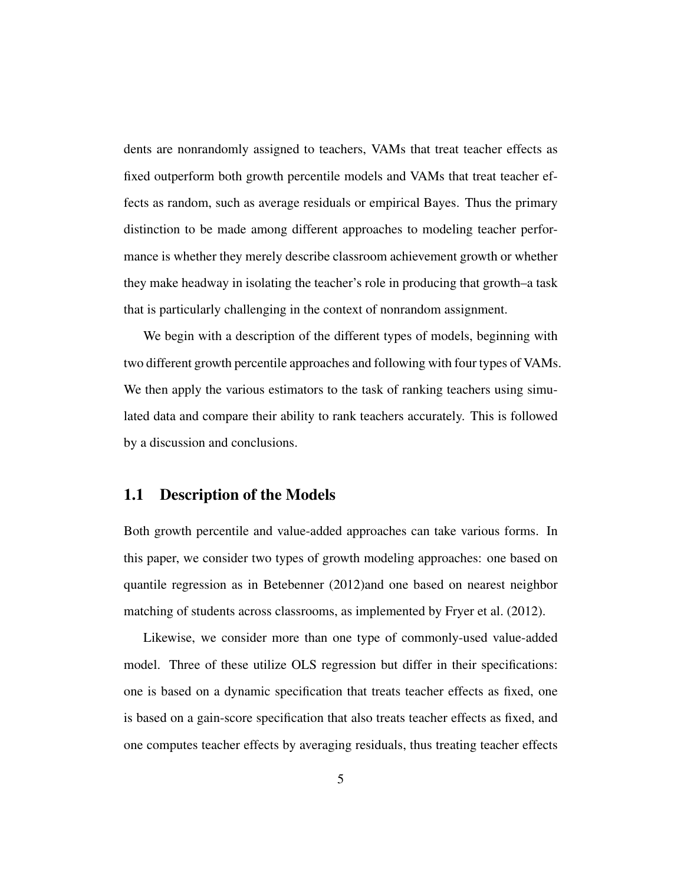dents are nonrandomly assigned to teachers, VAMs that treat teacher effects as fixed outperform both growth percentile models and VAMs that treat teacher effects as random, such as average residuals or empirical Bayes. Thus the primary distinction to be made among different approaches to modeling teacher performance is whether they merely describe classroom achievement growth or whether they make headway in isolating the teacher's role in producing that growth–a task that is particularly challenging in the context of nonrandom assignment.

We begin with a description of the different types of models, beginning with two different growth percentile approaches and following with four types of VAMs. We then apply the various estimators to the task of ranking teachers using simulated data and compare their ability to rank teachers accurately. This is followed by a discussion and conclusions.

#### 1.1 Description of the Models

Both growth percentile and value-added approaches can take various forms. In this paper, we consider two types of growth modeling approaches: one based on quantile regression as in Betebenner (2012)and one based on nearest neighbor matching of students across classrooms, as implemented by Fryer et al. (2012).

Likewise, we consider more than one type of commonly-used value-added model. Three of these utilize OLS regression but differ in their specifications: one is based on a dynamic specification that treats teacher effects as fixed, one is based on a gain-score specification that also treats teacher effects as fixed, and one computes teacher effects by averaging residuals, thus treating teacher effects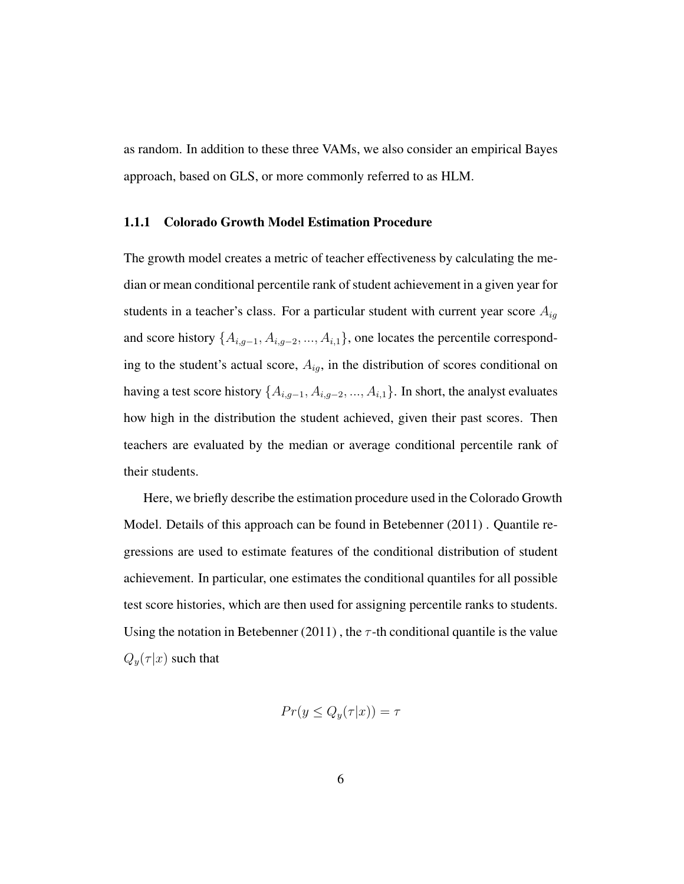as random. In addition to these three VAMs, we also consider an empirical Bayes approach, based on GLS, or more commonly referred to as HLM.

#### 1.1.1 Colorado Growth Model Estimation Procedure

The growth model creates a metric of teacher effectiveness by calculating the median or mean conditional percentile rank of student achievement in a given year for students in a teacher's class. For a particular student with current year score  $A_{ig}$ and score history  $\{A_{i,g-1}, A_{i,g-2}, ..., A_{i,1}\}$ , one locates the percentile corresponding to the student's actual score,  $A_{ig}$ , in the distribution of scores conditional on having a test score history  $\{A_{i,g-1}, A_{i,g-2}, ..., A_{i,1}\}$ . In short, the analyst evaluates how high in the distribution the student achieved, given their past scores. Then teachers are evaluated by the median or average conditional percentile rank of their students.

Here, we briefly describe the estimation procedure used in the Colorado Growth Model. Details of this approach can be found in Betebenner (2011) . Quantile regressions are used to estimate features of the conditional distribution of student achievement. In particular, one estimates the conditional quantiles for all possible test score histories, which are then used for assigning percentile ranks to students. Using the notation in Betebenner (2011), the  $\tau$ -th conditional quantile is the value  $Q_y(\tau|x)$  such that

$$
Pr(y \le Q_y(\tau|x)) = \tau
$$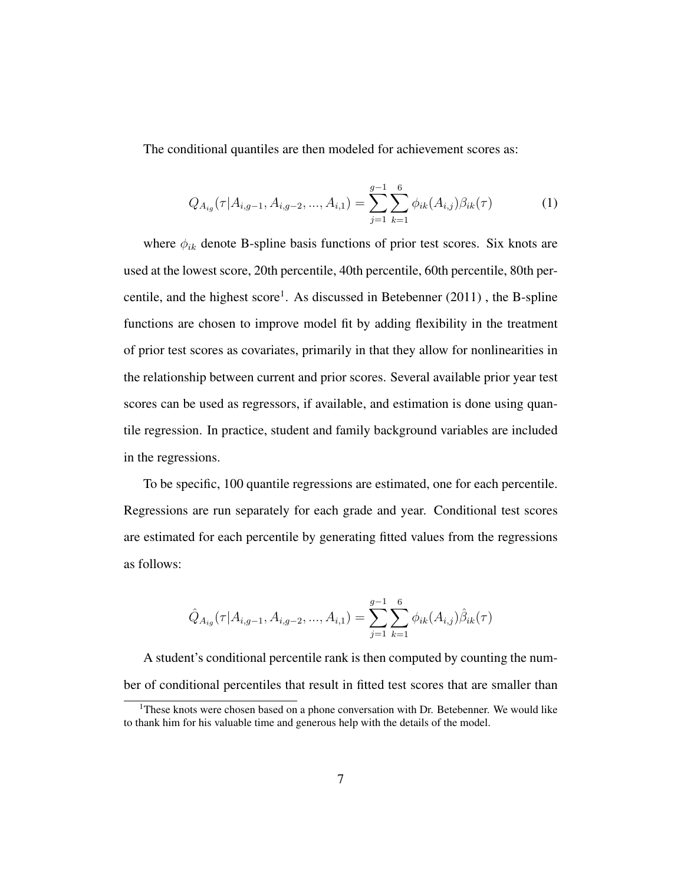The conditional quantiles are then modeled for achievement scores as:

$$
Q_{A_{ig}}(\tau|A_{i,g-1}, A_{i,g-2}, ..., A_{i,1}) = \sum_{j=1}^{g-1} \sum_{k=1}^{6} \phi_{ik}(A_{i,j})\beta_{ik}(\tau)
$$
(1)

where  $\phi_{ik}$  denote B-spline basis functions of prior test scores. Six knots are used at the lowest score, 20th percentile, 40th percentile, 60th percentile, 80th percentile, and the highest score<sup>1</sup>. As discussed in Betebenner  $(2011)$ , the B-spline functions are chosen to improve model fit by adding flexibility in the treatment of prior test scores as covariates, primarily in that they allow for nonlinearities in the relationship between current and prior scores. Several available prior year test scores can be used as regressors, if available, and estimation is done using quantile regression. In practice, student and family background variables are included in the regressions.

To be specific, 100 quantile regressions are estimated, one for each percentile. Regressions are run separately for each grade and year. Conditional test scores are estimated for each percentile by generating fitted values from the regressions as follows:

$$
\hat{Q}_{A_{ig}}(\tau|A_{i,g-1}, A_{i,g-2}, ..., A_{i,1}) = \sum_{j=1}^{g-1} \sum_{k=1}^{6} \phi_{ik}(A_{i,j}) \hat{\beta}_{ik}(\tau)
$$

A student's conditional percentile rank is then computed by counting the number of conditional percentiles that result in fitted test scores that are smaller than

<sup>&</sup>lt;sup>1</sup>These knots were chosen based on a phone conversation with Dr. Betebenner. We would like to thank him for his valuable time and generous help with the details of the model.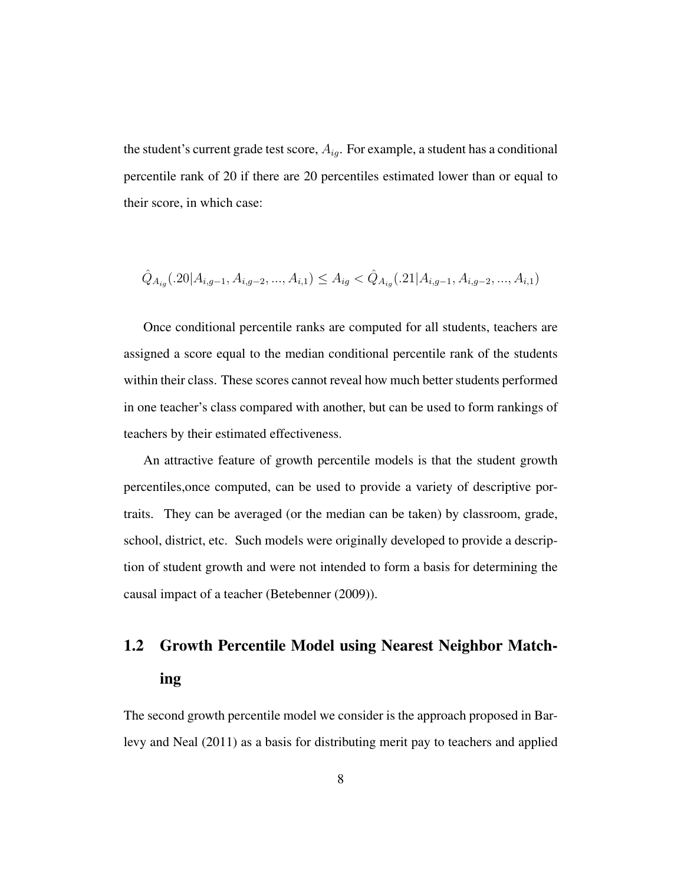the student's current grade test score,  $A_{ig}$ . For example, a student has a conditional percentile rank of 20 if there are 20 percentiles estimated lower than or equal to their score, in which case:

$$
\hat{Q}_{A_{ig}}(.20|A_{i,g-1}, A_{i,g-2}, ..., A_{i,1}) \leq A_{ig} < \hat{Q}_{A_{ig}}(.21|A_{i,g-1}, A_{i,g-2}, ..., A_{i,1})
$$

Once conditional percentile ranks are computed for all students, teachers are assigned a score equal to the median conditional percentile rank of the students within their class. These scores cannot reveal how much better students performed in one teacher's class compared with another, but can be used to form rankings of teachers by their estimated effectiveness.

An attractive feature of growth percentile models is that the student growth percentiles,once computed, can be used to provide a variety of descriptive portraits. They can be averaged (or the median can be taken) by classroom, grade, school, district, etc. Such models were originally developed to provide a description of student growth and were not intended to form a basis for determining the causal impact of a teacher (Betebenner (2009)).

# 1.2 Growth Percentile Model using Nearest Neighbor Matching

The second growth percentile model we consider is the approach proposed in Barlevy and Neal (2011) as a basis for distributing merit pay to teachers and applied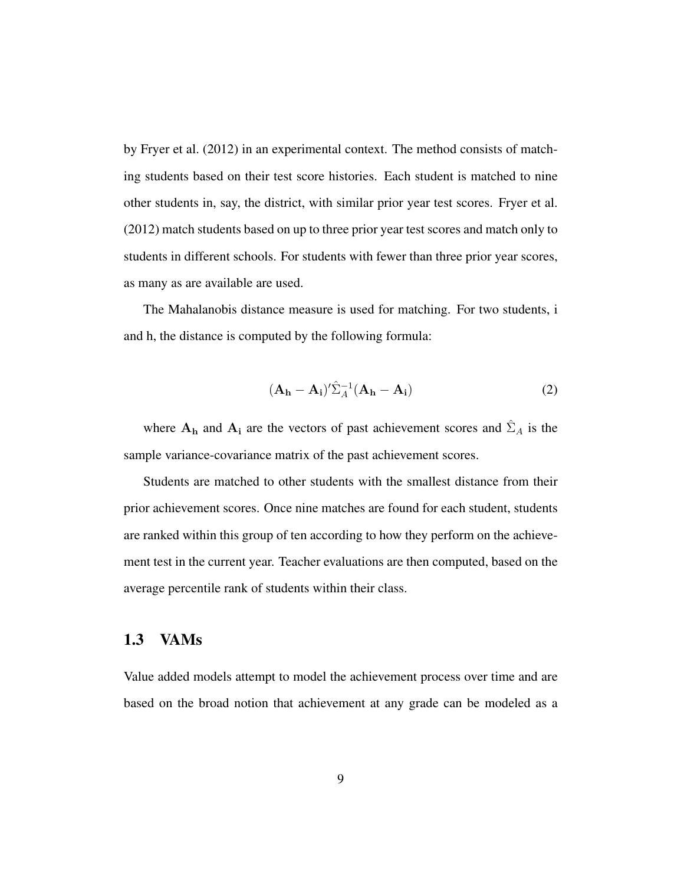by Fryer et al. (2012) in an experimental context. The method consists of matching students based on their test score histories. Each student is matched to nine other students in, say, the district, with similar prior year test scores. Fryer et al. (2012) match students based on up to three prior year test scores and match only to students in different schools. For students with fewer than three prior year scores, as many as are available are used.

The Mahalanobis distance measure is used for matching. For two students, i and h, the distance is computed by the following formula:

$$
(\mathbf{A}_{\mathbf{h}} - \mathbf{A}_{\mathbf{i}})' \hat{\Sigma}_A^{-1} (\mathbf{A}_{\mathbf{h}} - \mathbf{A}_{\mathbf{i}})
$$
 (2)

where  $A_h$  and  $A_i$  are the vectors of past achievement scores and  $\hat{\Sigma}_A$  is the sample variance-covariance matrix of the past achievement scores.

Students are matched to other students with the smallest distance from their prior achievement scores. Once nine matches are found for each student, students are ranked within this group of ten according to how they perform on the achievement test in the current year. Teacher evaluations are then computed, based on the average percentile rank of students within their class.

#### 1.3 VAMs

Value added models attempt to model the achievement process over time and are based on the broad notion that achievement at any grade can be modeled as a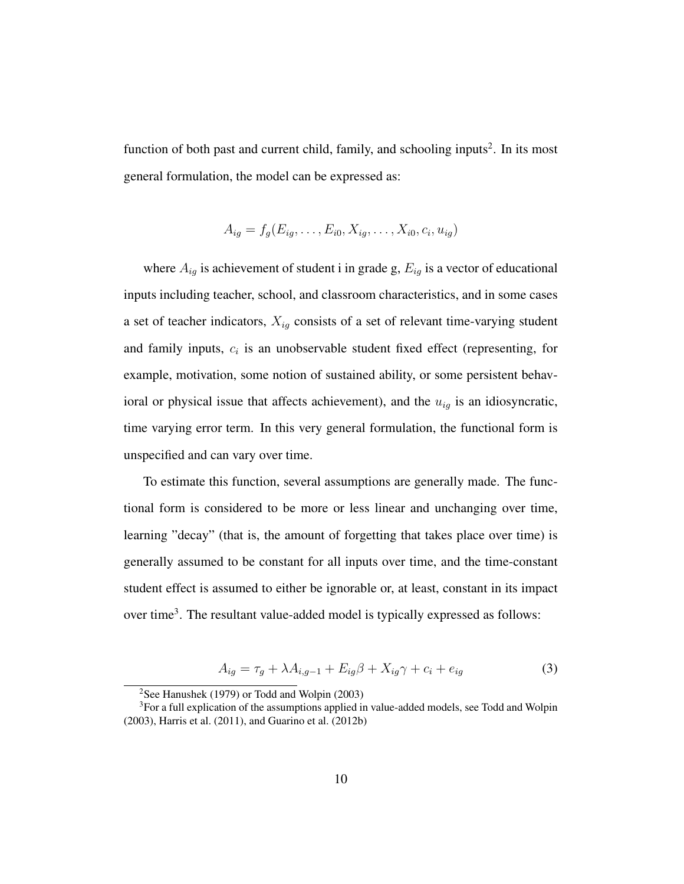function of both past and current child, family, and schooling inputs<sup>2</sup>. In its most general formulation, the model can be expressed as:

$$
A_{ig} = f_g(E_{ig}, \ldots, E_{i0}, X_{ig}, \ldots, X_{i0}, c_i, u_{ig})
$$

where  $A_{ig}$  is achievement of student i in grade g,  $E_{ig}$  is a vector of educational inputs including teacher, school, and classroom characteristics, and in some cases a set of teacher indicators,  $X_{ig}$  consists of a set of relevant time-varying student and family inputs,  $c_i$  is an unobservable student fixed effect (representing, for example, motivation, some notion of sustained ability, or some persistent behavioral or physical issue that affects achievement), and the  $u_{ig}$  is an idiosyncratic, time varying error term. In this very general formulation, the functional form is unspecified and can vary over time.

To estimate this function, several assumptions are generally made. The functional form is considered to be more or less linear and unchanging over time, learning "decay" (that is, the amount of forgetting that takes place over time) is generally assumed to be constant for all inputs over time, and the time-constant student effect is assumed to either be ignorable or, at least, constant in its impact over time<sup>3</sup>. The resultant value-added model is typically expressed as follows:

$$
A_{ig} = \tau_g + \lambda A_{i,g-1} + E_{ig}\beta + X_{ig}\gamma + c_i + e_{ig}
$$
\n(3)

<sup>2</sup>See Hanushek (1979) or Todd and Wolpin (2003)

<sup>&</sup>lt;sup>3</sup>For a full explication of the assumptions applied in value-added models, see Todd and Wolpin (2003), Harris et al. (2011), and Guarino et al. (2012b)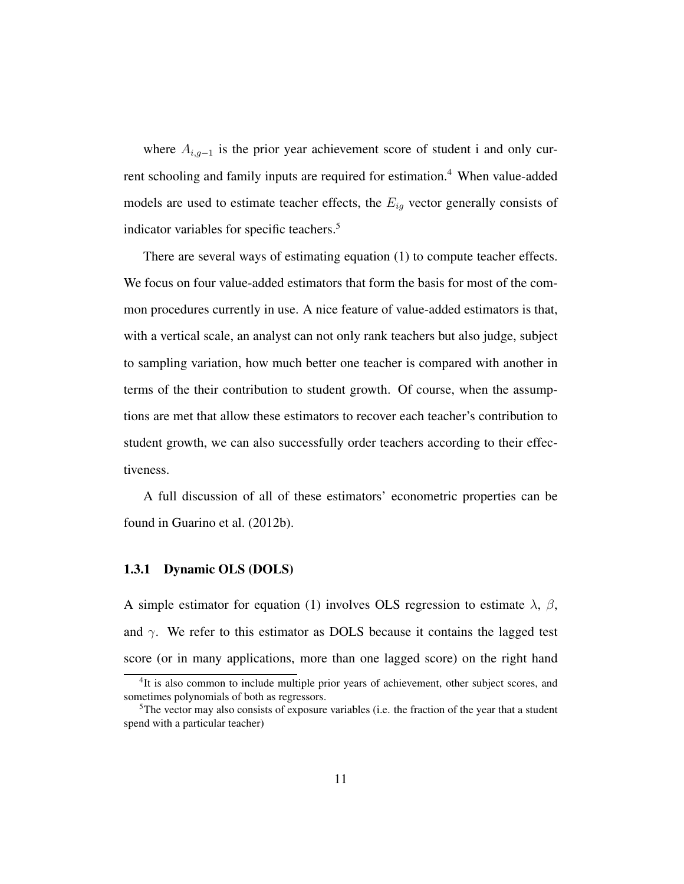where  $A_{i,g-1}$  is the prior year achievement score of student i and only current schooling and family inputs are required for estimation.<sup>4</sup> When value-added models are used to estimate teacher effects, the  $E_{iq}$  vector generally consists of indicator variables for specific teachers.<sup>5</sup>

There are several ways of estimating equation (1) to compute teacher effects. We focus on four value-added estimators that form the basis for most of the common procedures currently in use. A nice feature of value-added estimators is that, with a vertical scale, an analyst can not only rank teachers but also judge, subject to sampling variation, how much better one teacher is compared with another in terms of the their contribution to student growth. Of course, when the assumptions are met that allow these estimators to recover each teacher's contribution to student growth, we can also successfully order teachers according to their effectiveness.

A full discussion of all of these estimators' econometric properties can be found in Guarino et al. (2012b).

#### 1.3.1 Dynamic OLS (DOLS)

A simple estimator for equation (1) involves OLS regression to estimate  $\lambda$ ,  $\beta$ , and  $\gamma$ . We refer to this estimator as DOLS because it contains the lagged test score (or in many applications, more than one lagged score) on the right hand

<sup>&</sup>lt;sup>4</sup>It is also common to include multiple prior years of achievement, other subject scores, and sometimes polynomials of both as regressors.

 ${}^{5}$ The vector may also consists of exposure variables (i.e. the fraction of the year that a student spend with a particular teacher)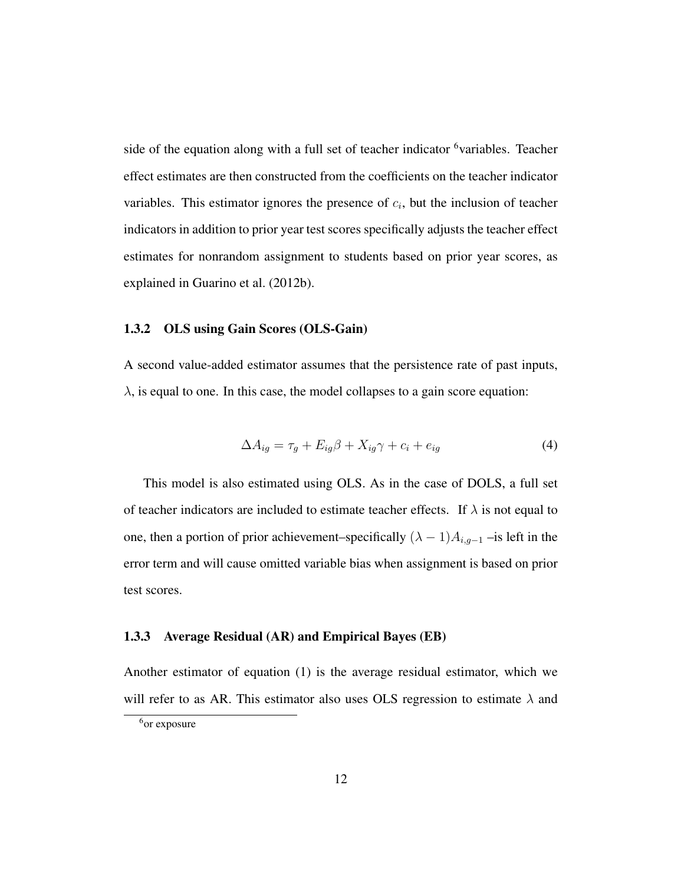side of the equation along with a full set of teacher indicator <sup>6</sup>variables. Teacher effect estimates are then constructed from the coefficients on the teacher indicator variables. This estimator ignores the presence of  $c_i$ , but the inclusion of teacher indicators in addition to prior year test scores specifically adjusts the teacher effect estimates for nonrandom assignment to students based on prior year scores, as explained in Guarino et al. (2012b).

#### 1.3.2 OLS using Gain Scores (OLS-Gain)

A second value-added estimator assumes that the persistence rate of past inputs,  $\lambda$ , is equal to one. In this case, the model collapses to a gain score equation:

$$
\Delta A_{ig} = \tau_g + E_{ig}\beta + X_{ig}\gamma + c_i + e_{ig} \tag{4}
$$

This model is also estimated using OLS. As in the case of DOLS, a full set of teacher indicators are included to estimate teacher effects. If  $\lambda$  is not equal to one, then a portion of prior achievement–specifically  $(\lambda - 1)A_{i,g-1}$  –is left in the error term and will cause omitted variable bias when assignment is based on prior test scores.

#### 1.3.3 Average Residual (AR) and Empirical Bayes (EB)

Another estimator of equation (1) is the average residual estimator, which we will refer to as AR. This estimator also uses OLS regression to estimate  $\lambda$  and

<sup>&</sup>lt;sup>6</sup>or exposure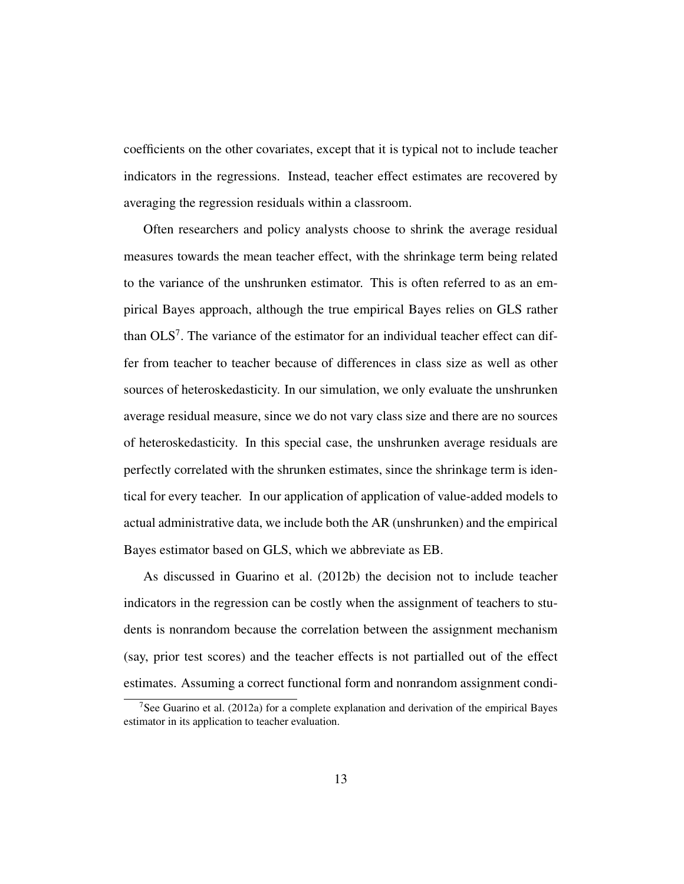coefficients on the other covariates, except that it is typical not to include teacher indicators in the regressions. Instead, teacher effect estimates are recovered by averaging the regression residuals within a classroom.

Often researchers and policy analysts choose to shrink the average residual measures towards the mean teacher effect, with the shrinkage term being related to the variance of the unshrunken estimator. This is often referred to as an empirical Bayes approach, although the true empirical Bayes relies on GLS rather than  $OLS<sup>7</sup>$ . The variance of the estimator for an individual teacher effect can differ from teacher to teacher because of differences in class size as well as other sources of heteroskedasticity. In our simulation, we only evaluate the unshrunken average residual measure, since we do not vary class size and there are no sources of heteroskedasticity. In this special case, the unshrunken average residuals are perfectly correlated with the shrunken estimates, since the shrinkage term is identical for every teacher. In our application of application of value-added models to actual administrative data, we include both the AR (unshrunken) and the empirical Bayes estimator based on GLS, which we abbreviate as EB.

As discussed in Guarino et al. (2012b) the decision not to include teacher indicators in the regression can be costly when the assignment of teachers to students is nonrandom because the correlation between the assignment mechanism (say, prior test scores) and the teacher effects is not partialled out of the effect estimates. Assuming a correct functional form and nonrandom assignment condi-

<sup>&</sup>lt;sup>7</sup>See Guarino et al. (2012a) for a complete explanation and derivation of the empirical Bayes estimator in its application to teacher evaluation.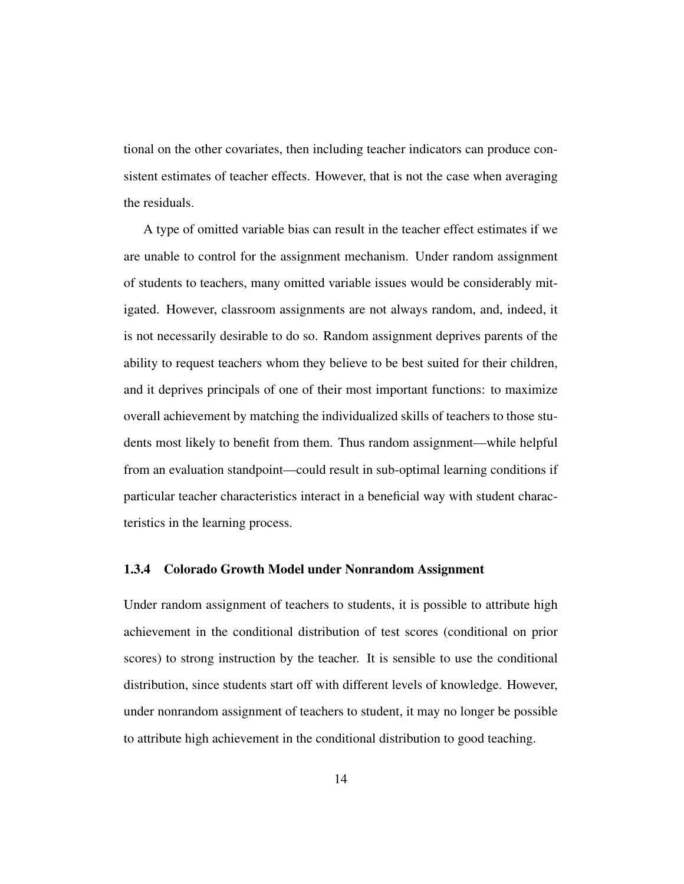tional on the other covariates, then including teacher indicators can produce consistent estimates of teacher effects. However, that is not the case when averaging the residuals.

A type of omitted variable bias can result in the teacher effect estimates if we are unable to control for the assignment mechanism. Under random assignment of students to teachers, many omitted variable issues would be considerably mitigated. However, classroom assignments are not always random, and, indeed, it is not necessarily desirable to do so. Random assignment deprives parents of the ability to request teachers whom they believe to be best suited for their children, and it deprives principals of one of their most important functions: to maximize overall achievement by matching the individualized skills of teachers to those students most likely to benefit from them. Thus random assignment—while helpful from an evaluation standpoint—could result in sub-optimal learning conditions if particular teacher characteristics interact in a beneficial way with student characteristics in the learning process.

#### 1.3.4 Colorado Growth Model under Nonrandom Assignment

Under random assignment of teachers to students, it is possible to attribute high achievement in the conditional distribution of test scores (conditional on prior scores) to strong instruction by the teacher. It is sensible to use the conditional distribution, since students start off with different levels of knowledge. However, under nonrandom assignment of teachers to student, it may no longer be possible to attribute high achievement in the conditional distribution to good teaching.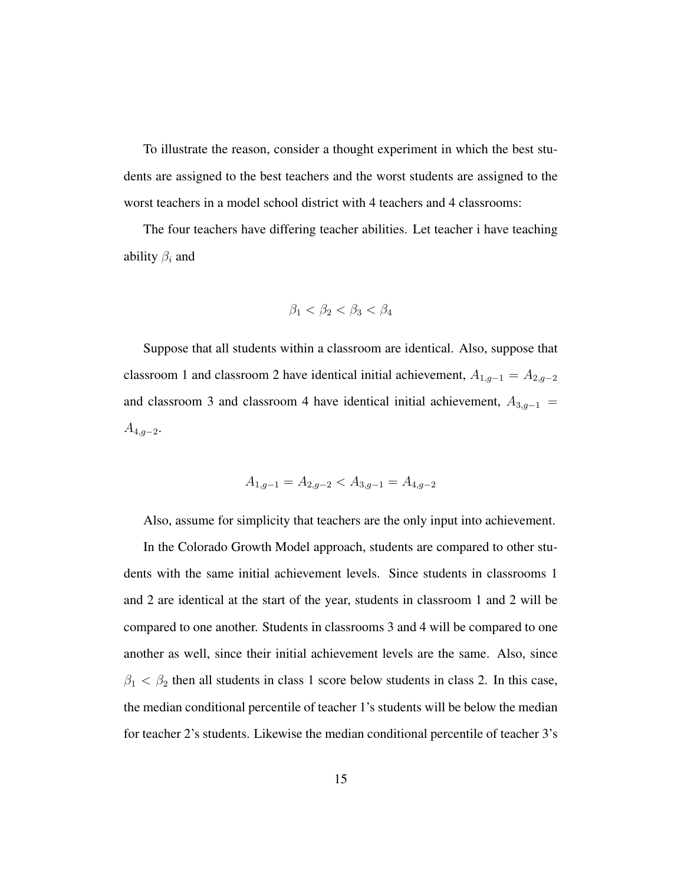To illustrate the reason, consider a thought experiment in which the best students are assigned to the best teachers and the worst students are assigned to the worst teachers in a model school district with 4 teachers and 4 classrooms:

The four teachers have differing teacher abilities. Let teacher i have teaching ability  $\beta_i$  and

$$
\beta_1 < \beta_2 < \beta_3 < \beta_4
$$

Suppose that all students within a classroom are identical. Also, suppose that classroom 1 and classroom 2 have identical initial achievement,  $A_{1,g-1} = A_{2,g-2}$ and classroom 3 and classroom 4 have identical initial achievement,  $A_{3,g-1}$  =  $A_{4,g-2}.$ 

$$
A_{1,g-1} = A_{2,g-2} < A_{3,g-1} = A_{4,g-2}
$$

Also, assume for simplicity that teachers are the only input into achievement.

In the Colorado Growth Model approach, students are compared to other students with the same initial achievement levels. Since students in classrooms 1 and 2 are identical at the start of the year, students in classroom 1 and 2 will be compared to one another. Students in classrooms 3 and 4 will be compared to one another as well, since their initial achievement levels are the same. Also, since  $\beta_1 < \beta_2$  then all students in class 1 score below students in class 2. In this case, the median conditional percentile of teacher 1's students will be below the median for teacher 2's students. Likewise the median conditional percentile of teacher 3's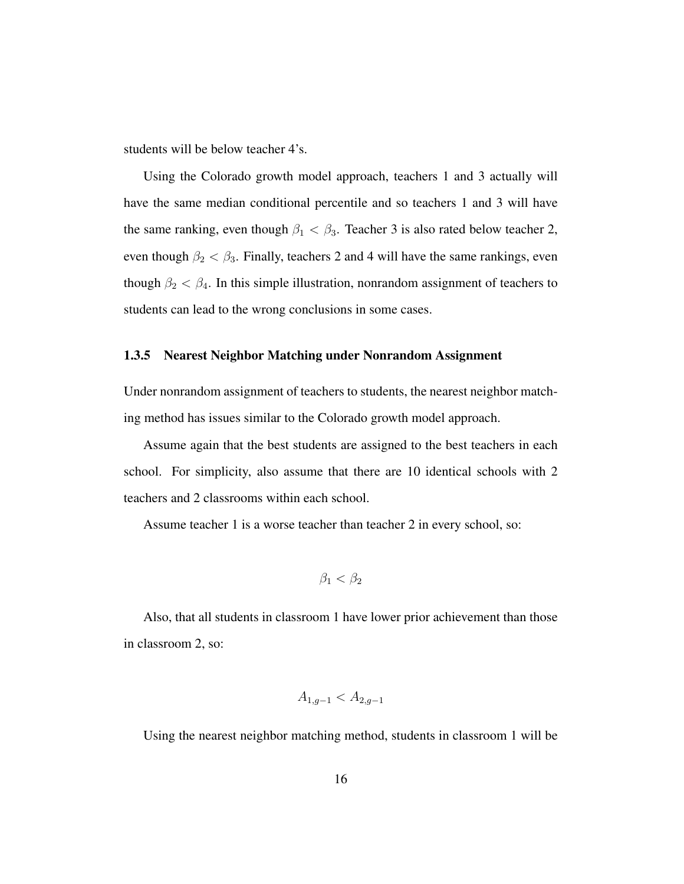students will be below teacher 4's.

Using the Colorado growth model approach, teachers 1 and 3 actually will have the same median conditional percentile and so teachers 1 and 3 will have the same ranking, even though  $\beta_1 < \beta_3$ . Teacher 3 is also rated below teacher 2, even though  $\beta_2 < \beta_3$ . Finally, teachers 2 and 4 will have the same rankings, even though  $\beta_2 < \beta_4$ . In this simple illustration, nonrandom assignment of teachers to students can lead to the wrong conclusions in some cases.

#### 1.3.5 Nearest Neighbor Matching under Nonrandom Assignment

Under nonrandom assignment of teachers to students, the nearest neighbor matching method has issues similar to the Colorado growth model approach.

Assume again that the best students are assigned to the best teachers in each school. For simplicity, also assume that there are 10 identical schools with 2 teachers and 2 classrooms within each school.

Assume teacher 1 is a worse teacher than teacher 2 in every school, so:

$$
\beta_1 < \beta_2
$$

Also, that all students in classroom 1 have lower prior achievement than those in classroom 2, so:

$$
A_{1,g-1} < A_{2,g-1}
$$

Using the nearest neighbor matching method, students in classroom 1 will be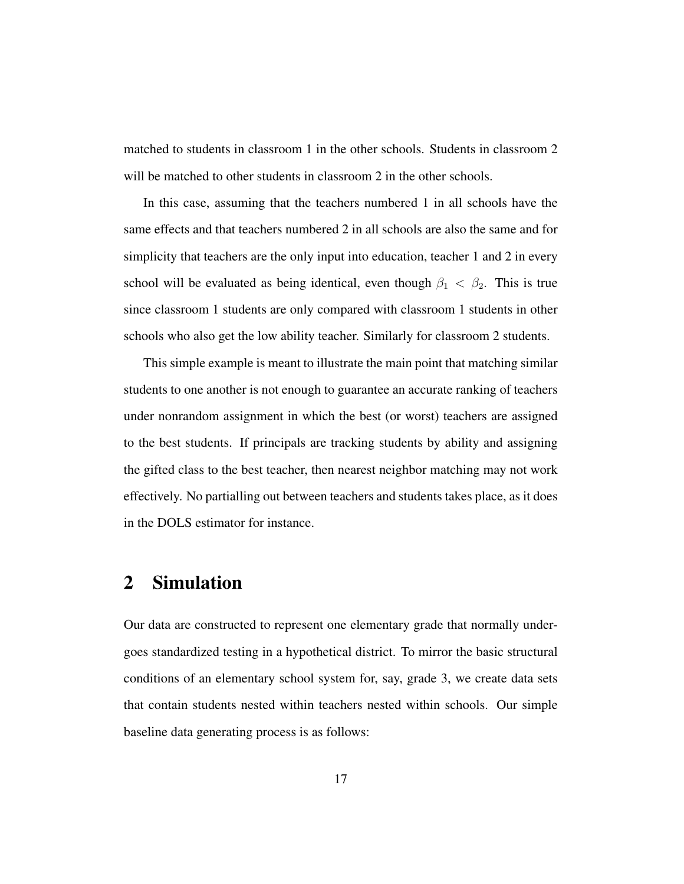matched to students in classroom 1 in the other schools. Students in classroom 2 will be matched to other students in classroom 2 in the other schools.

In this case, assuming that the teachers numbered 1 in all schools have the same effects and that teachers numbered 2 in all schools are also the same and for simplicity that teachers are the only input into education, teacher 1 and 2 in every school will be evaluated as being identical, even though  $\beta_1 < \beta_2$ . This is true since classroom 1 students are only compared with classroom 1 students in other schools who also get the low ability teacher. Similarly for classroom 2 students.

This simple example is meant to illustrate the main point that matching similar students to one another is not enough to guarantee an accurate ranking of teachers under nonrandom assignment in which the best (or worst) teachers are assigned to the best students. If principals are tracking students by ability and assigning the gifted class to the best teacher, then nearest neighbor matching may not work effectively. No partialling out between teachers and students takes place, as it does in the DOLS estimator for instance.

## 2 Simulation

Our data are constructed to represent one elementary grade that normally undergoes standardized testing in a hypothetical district. To mirror the basic structural conditions of an elementary school system for, say, grade 3, we create data sets that contain students nested within teachers nested within schools. Our simple baseline data generating process is as follows: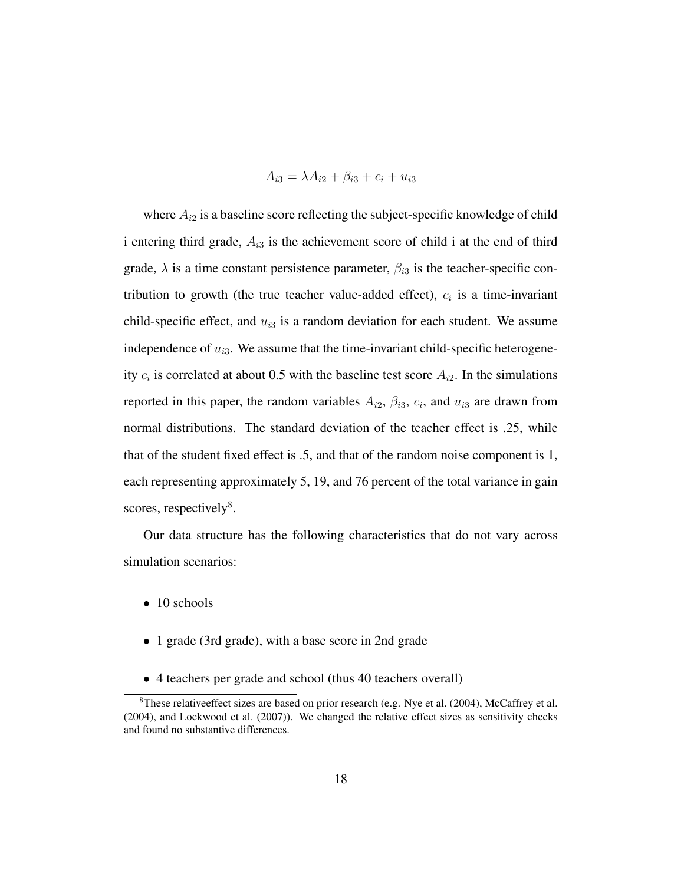$$
A_{i3} = \lambda A_{i2} + \beta_{i3} + c_i + u_{i3}
$$

where  $A_{i2}$  is a baseline score reflecting the subject-specific knowledge of child i entering third grade,  $A_{i3}$  is the achievement score of child i at the end of third grade,  $\lambda$  is a time constant persistence parameter,  $\beta_{i3}$  is the teacher-specific contribution to growth (the true teacher value-added effect),  $c_i$  is a time-invariant child-specific effect, and  $u_{i3}$  is a random deviation for each student. We assume independence of  $u_{i3}$ . We assume that the time-invariant child-specific heterogeneity  $c_i$  is correlated at about 0.5 with the baseline test score  $A_{i2}$ . In the simulations reported in this paper, the random variables  $A_{i2}$ ,  $\beta_{i3}$ ,  $c_i$ , and  $u_{i3}$  are drawn from normal distributions. The standard deviation of the teacher effect is .25, while that of the student fixed effect is .5, and that of the random noise component is 1, each representing approximately 5, 19, and 76 percent of the total variance in gain scores, respectively<sup>8</sup>.

Our data structure has the following characteristics that do not vary across simulation scenarios:

- 10 schools
- 1 grade (3rd grade), with a base score in 2nd grade
- 4 teachers per grade and school (thus 40 teachers overall)

<sup>8</sup>These relativeeffect sizes are based on prior research (e.g. Nye et al. (2004), McCaffrey et al. (2004), and Lockwood et al. (2007)). We changed the relative effect sizes as sensitivity checks and found no substantive differences.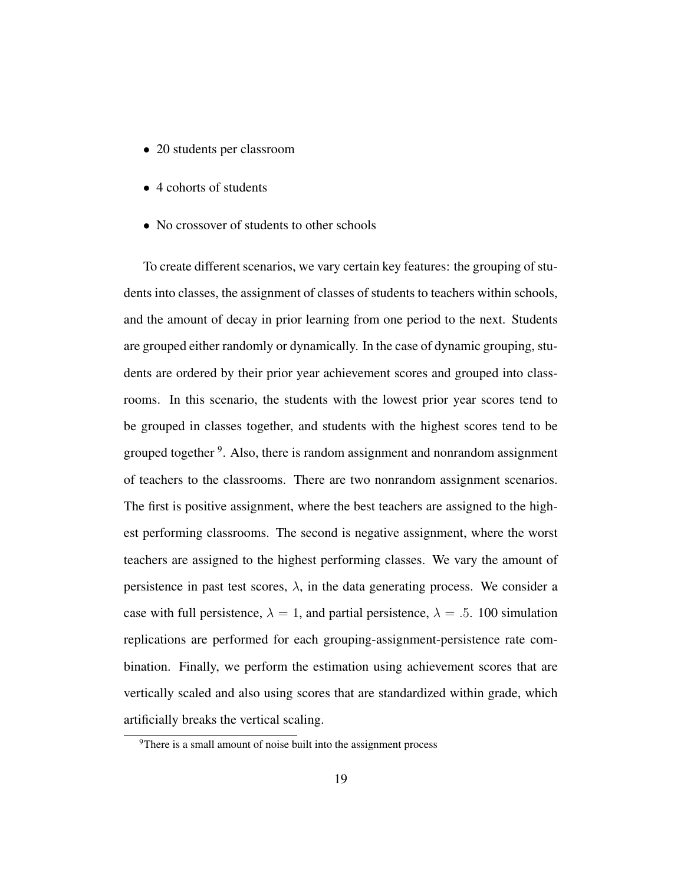- 20 students per classroom
- 4 cohorts of students
- No crossover of students to other schools

To create different scenarios, we vary certain key features: the grouping of students into classes, the assignment of classes of students to teachers within schools, and the amount of decay in prior learning from one period to the next. Students are grouped either randomly or dynamically. In the case of dynamic grouping, students are ordered by their prior year achievement scores and grouped into classrooms. In this scenario, the students with the lowest prior year scores tend to be grouped in classes together, and students with the highest scores tend to be grouped together <sup>9</sup>. Also, there is random assignment and nonrandom assignment of teachers to the classrooms. There are two nonrandom assignment scenarios. The first is positive assignment, where the best teachers are assigned to the highest performing classrooms. The second is negative assignment, where the worst teachers are assigned to the highest performing classes. We vary the amount of persistence in past test scores,  $\lambda$ , in the data generating process. We consider a case with full persistence,  $\lambda = 1$ , and partial persistence,  $\lambda = .5$ . 100 simulation replications are performed for each grouping-assignment-persistence rate combination. Finally, we perform the estimation using achievement scores that are vertically scaled and also using scores that are standardized within grade, which artificially breaks the vertical scaling.

<sup>&</sup>lt;sup>9</sup>There is a small amount of noise built into the assignment process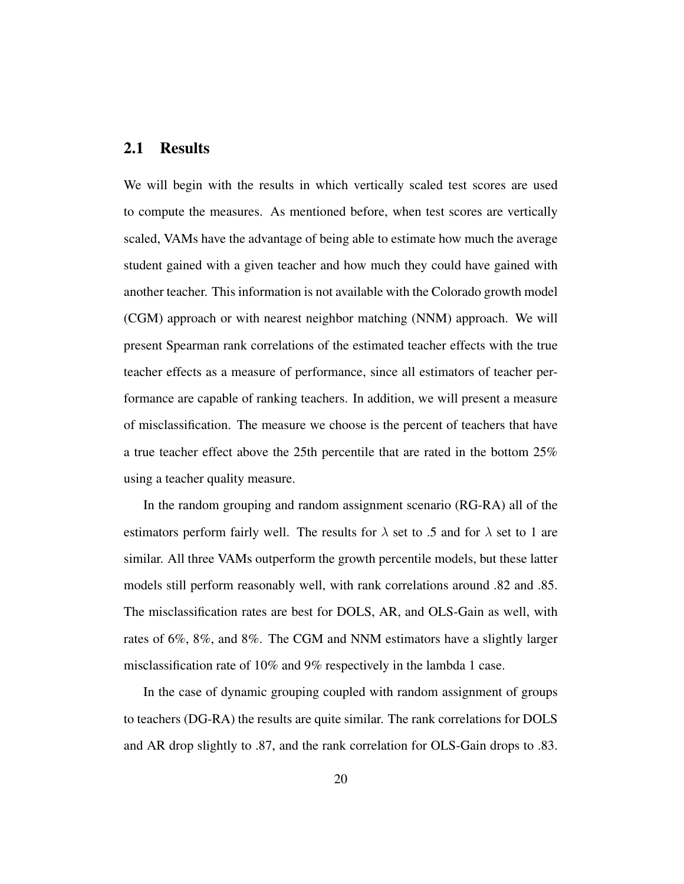#### 2.1 Results

We will begin with the results in which vertically scaled test scores are used to compute the measures. As mentioned before, when test scores are vertically scaled, VAMs have the advantage of being able to estimate how much the average student gained with a given teacher and how much they could have gained with another teacher. This information is not available with the Colorado growth model (CGM) approach or with nearest neighbor matching (NNM) approach. We will present Spearman rank correlations of the estimated teacher effects with the true teacher effects as a measure of performance, since all estimators of teacher performance are capable of ranking teachers. In addition, we will present a measure of misclassification. The measure we choose is the percent of teachers that have a true teacher effect above the 25th percentile that are rated in the bottom 25% using a teacher quality measure.

In the random grouping and random assignment scenario (RG-RA) all of the estimators perform fairly well. The results for  $\lambda$  set to .5 and for  $\lambda$  set to 1 are similar. All three VAMs outperform the growth percentile models, but these latter models still perform reasonably well, with rank correlations around .82 and .85. The misclassification rates are best for DOLS, AR, and OLS-Gain as well, with rates of 6%, 8%, and 8%. The CGM and NNM estimators have a slightly larger misclassification rate of 10% and 9% respectively in the lambda 1 case.

In the case of dynamic grouping coupled with random assignment of groups to teachers (DG-RA) the results are quite similar. The rank correlations for DOLS and AR drop slightly to .87, and the rank correlation for OLS-Gain drops to .83.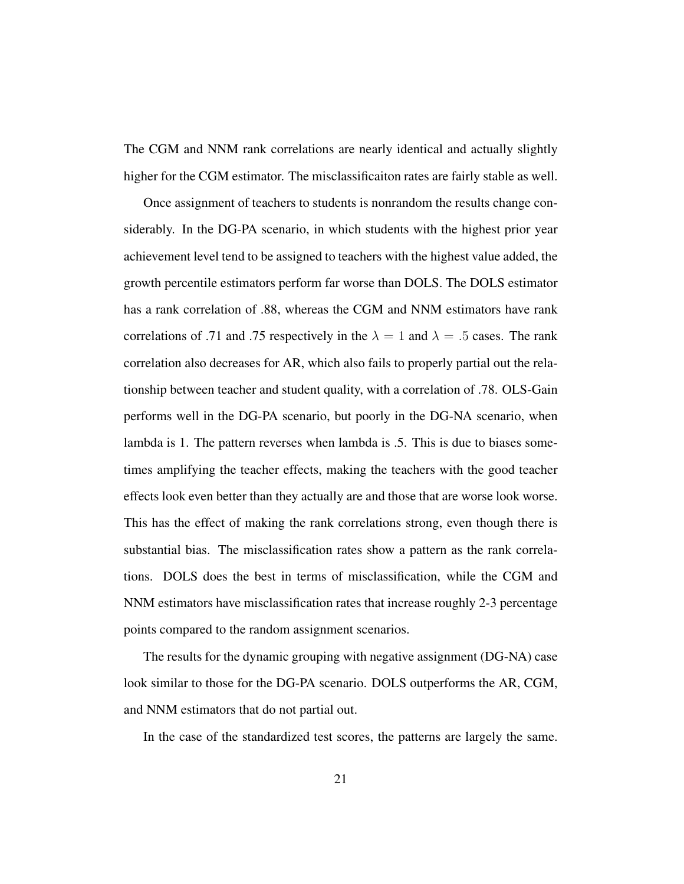The CGM and NNM rank correlations are nearly identical and actually slightly higher for the CGM estimator. The misclassificaiton rates are fairly stable as well.

Once assignment of teachers to students is nonrandom the results change considerably. In the DG-PA scenario, in which students with the highest prior year achievement level tend to be assigned to teachers with the highest value added, the growth percentile estimators perform far worse than DOLS. The DOLS estimator has a rank correlation of .88, whereas the CGM and NNM estimators have rank correlations of .71 and .75 respectively in the  $\lambda = 1$  and  $\lambda = 0.5$  cases. The rank correlation also decreases for AR, which also fails to properly partial out the relationship between teacher and student quality, with a correlation of .78. OLS-Gain performs well in the DG-PA scenario, but poorly in the DG-NA scenario, when lambda is 1. The pattern reverses when lambda is .5. This is due to biases sometimes amplifying the teacher effects, making the teachers with the good teacher effects look even better than they actually are and those that are worse look worse. This has the effect of making the rank correlations strong, even though there is substantial bias. The misclassification rates show a pattern as the rank correlations. DOLS does the best in terms of misclassification, while the CGM and NNM estimators have misclassification rates that increase roughly 2-3 percentage points compared to the random assignment scenarios.

The results for the dynamic grouping with negative assignment (DG-NA) case look similar to those for the DG-PA scenario. DOLS outperforms the AR, CGM, and NNM estimators that do not partial out.

In the case of the standardized test scores, the patterns are largely the same.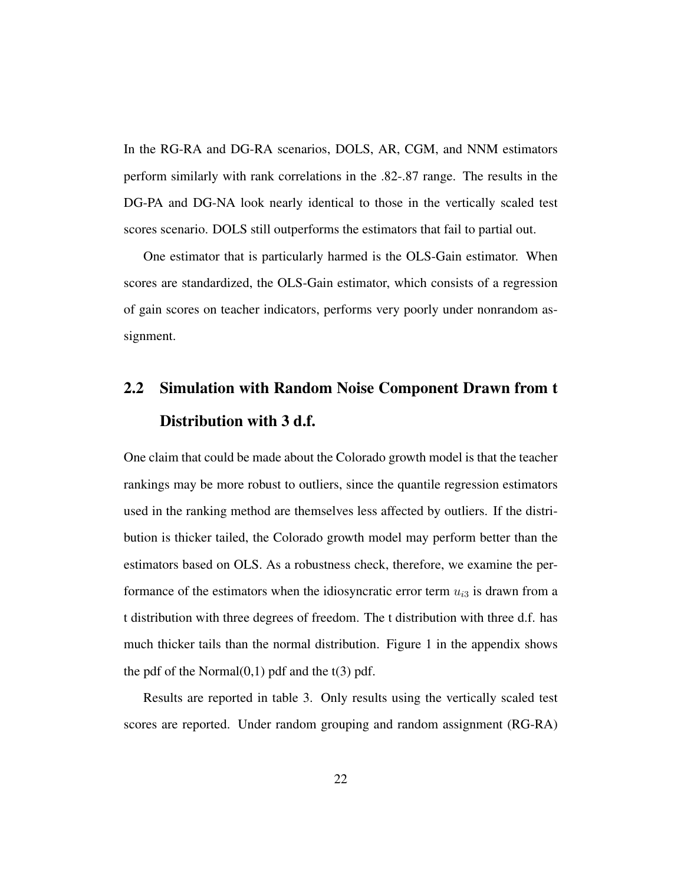In the RG-RA and DG-RA scenarios, DOLS, AR, CGM, and NNM estimators perform similarly with rank correlations in the .82-.87 range. The results in the DG-PA and DG-NA look nearly identical to those in the vertically scaled test scores scenario. DOLS still outperforms the estimators that fail to partial out.

One estimator that is particularly harmed is the OLS-Gain estimator. When scores are standardized, the OLS-Gain estimator, which consists of a regression of gain scores on teacher indicators, performs very poorly under nonrandom assignment.

# 2.2 Simulation with Random Noise Component Drawn from t Distribution with 3 d.f.

One claim that could be made about the Colorado growth model is that the teacher rankings may be more robust to outliers, since the quantile regression estimators used in the ranking method are themselves less affected by outliers. If the distribution is thicker tailed, the Colorado growth model may perform better than the estimators based on OLS. As a robustness check, therefore, we examine the performance of the estimators when the idiosyncratic error term  $u_{i3}$  is drawn from a t distribution with three degrees of freedom. The t distribution with three d.f. has much thicker tails than the normal distribution. Figure 1 in the appendix shows the pdf of the Normal $(0,1)$  pdf and the  $t(3)$  pdf.

Results are reported in table 3. Only results using the vertically scaled test scores are reported. Under random grouping and random assignment (RG-RA)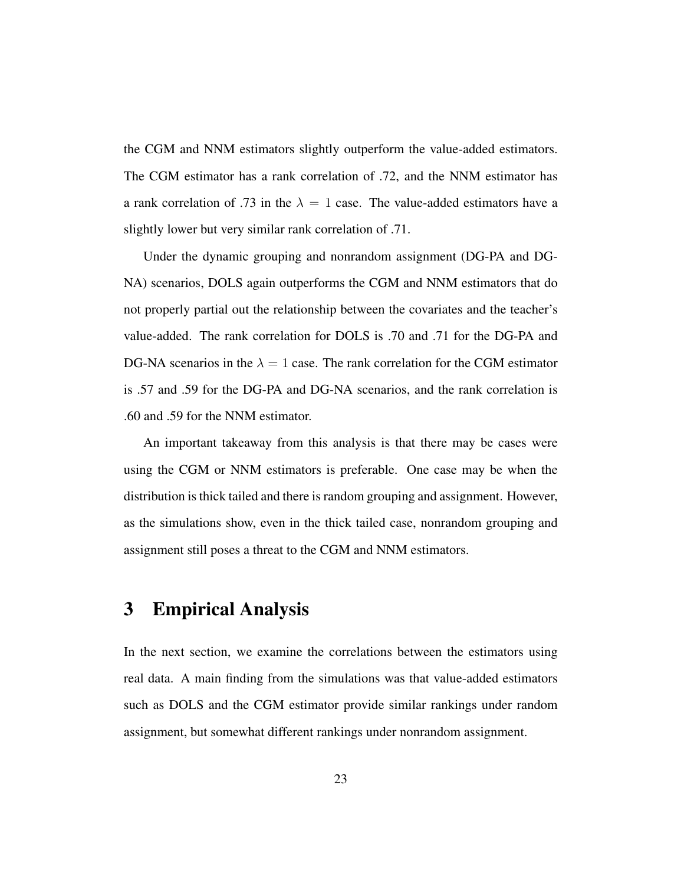the CGM and NNM estimators slightly outperform the value-added estimators. The CGM estimator has a rank correlation of .72, and the NNM estimator has a rank correlation of .73 in the  $\lambda = 1$  case. The value-added estimators have a slightly lower but very similar rank correlation of .71.

Under the dynamic grouping and nonrandom assignment (DG-PA and DG-NA) scenarios, DOLS again outperforms the CGM and NNM estimators that do not properly partial out the relationship between the covariates and the teacher's value-added. The rank correlation for DOLS is .70 and .71 for the DG-PA and DG-NA scenarios in the  $\lambda = 1$  case. The rank correlation for the CGM estimator is .57 and .59 for the DG-PA and DG-NA scenarios, and the rank correlation is .60 and .59 for the NNM estimator.

An important takeaway from this analysis is that there may be cases were using the CGM or NNM estimators is preferable. One case may be when the distribution is thick tailed and there is random grouping and assignment. However, as the simulations show, even in the thick tailed case, nonrandom grouping and assignment still poses a threat to the CGM and NNM estimators.

## 3 Empirical Analysis

In the next section, we examine the correlations between the estimators using real data. A main finding from the simulations was that value-added estimators such as DOLS and the CGM estimator provide similar rankings under random assignment, but somewhat different rankings under nonrandom assignment.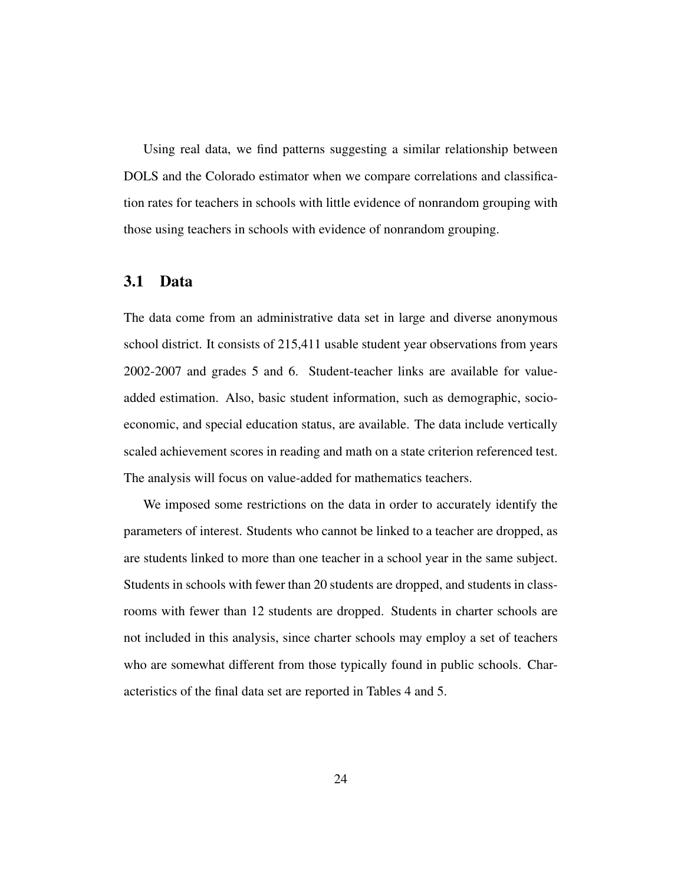Using real data, we find patterns suggesting a similar relationship between DOLS and the Colorado estimator when we compare correlations and classification rates for teachers in schools with little evidence of nonrandom grouping with those using teachers in schools with evidence of nonrandom grouping.

#### 3.1 Data

The data come from an administrative data set in large and diverse anonymous school district. It consists of 215,411 usable student year observations from years 2002-2007 and grades 5 and 6. Student-teacher links are available for valueadded estimation. Also, basic student information, such as demographic, socioeconomic, and special education status, are available. The data include vertically scaled achievement scores in reading and math on a state criterion referenced test. The analysis will focus on value-added for mathematics teachers.

We imposed some restrictions on the data in order to accurately identify the parameters of interest. Students who cannot be linked to a teacher are dropped, as are students linked to more than one teacher in a school year in the same subject. Students in schools with fewer than 20 students are dropped, and students in classrooms with fewer than 12 students are dropped. Students in charter schools are not included in this analysis, since charter schools may employ a set of teachers who are somewhat different from those typically found in public schools. Characteristics of the final data set are reported in Tables 4 and 5.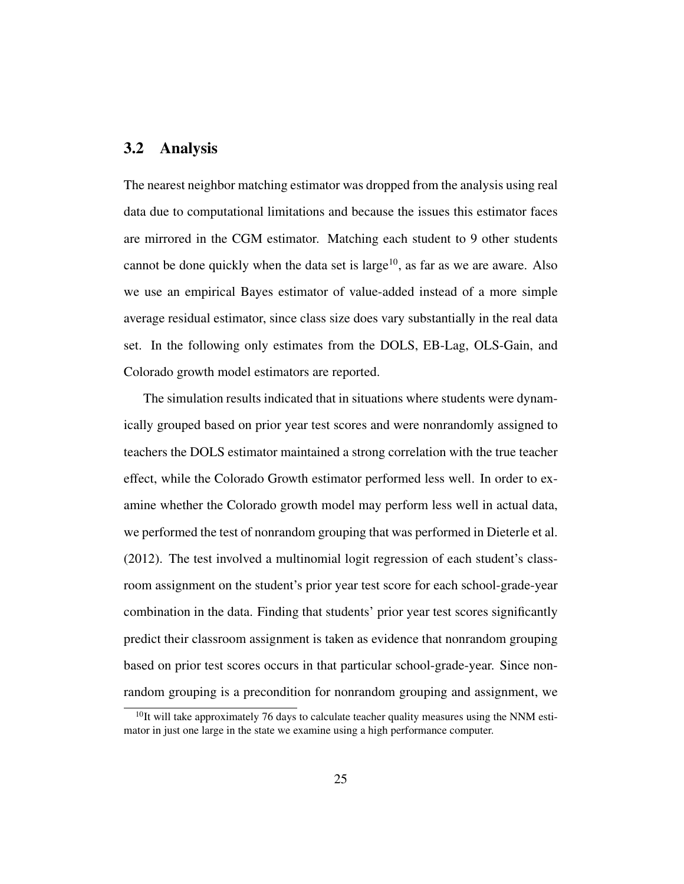#### 3.2 Analysis

The nearest neighbor matching estimator was dropped from the analysis using real data due to computational limitations and because the issues this estimator faces are mirrored in the CGM estimator. Matching each student to 9 other students cannot be done quickly when the data set is  $large^{10}$ , as far as we are aware. Also we use an empirical Bayes estimator of value-added instead of a more simple average residual estimator, since class size does vary substantially in the real data set. In the following only estimates from the DOLS, EB-Lag, OLS-Gain, and Colorado growth model estimators are reported.

The simulation results indicated that in situations where students were dynamically grouped based on prior year test scores and were nonrandomly assigned to teachers the DOLS estimator maintained a strong correlation with the true teacher effect, while the Colorado Growth estimator performed less well. In order to examine whether the Colorado growth model may perform less well in actual data, we performed the test of nonrandom grouping that was performed in Dieterle et al. (2012). The test involved a multinomial logit regression of each student's classroom assignment on the student's prior year test score for each school-grade-year combination in the data. Finding that students' prior year test scores significantly predict their classroom assignment is taken as evidence that nonrandom grouping based on prior test scores occurs in that particular school-grade-year. Since nonrandom grouping is a precondition for nonrandom grouping and assignment, we

 $10$ It will take approximately 76 days to calculate teacher quality measures using the NNM estimator in just one large in the state we examine using a high performance computer.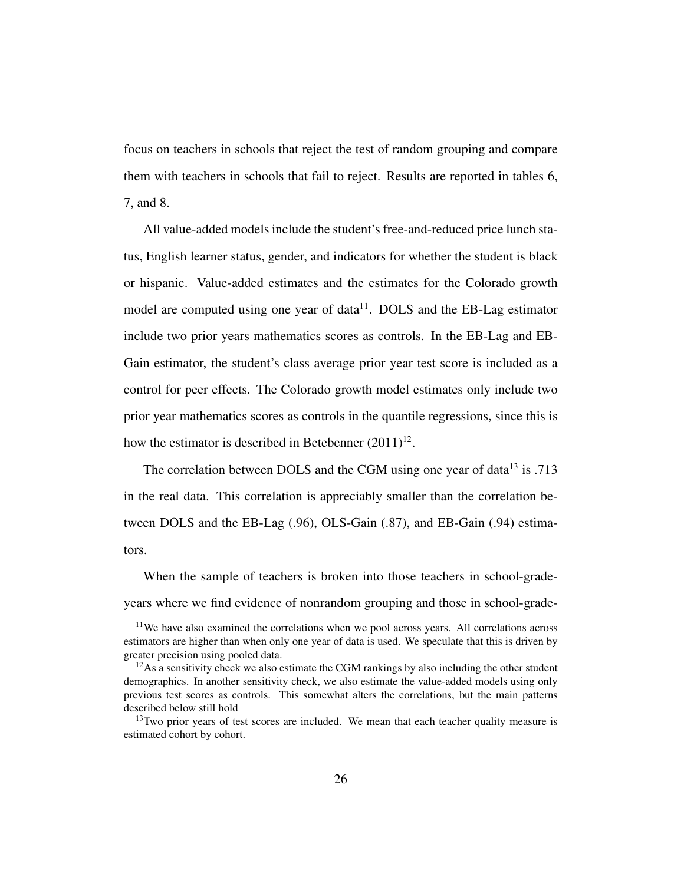focus on teachers in schools that reject the test of random grouping and compare them with teachers in schools that fail to reject. Results are reported in tables 6, 7, and 8.

All value-added models include the student's free-and-reduced price lunch status, English learner status, gender, and indicators for whether the student is black or hispanic. Value-added estimates and the estimates for the Colorado growth model are computed using one year of data $11$ . DOLS and the EB-Lag estimator include two prior years mathematics scores as controls. In the EB-Lag and EB-Gain estimator, the student's class average prior year test score is included as a control for peer effects. The Colorado growth model estimates only include two prior year mathematics scores as controls in the quantile regressions, since this is how the estimator is described in Betebenner  $(2011)^{12}$ .

The correlation between DOLS and the CGM using one year of data<sup>13</sup> is .713 in the real data. This correlation is appreciably smaller than the correlation between DOLS and the EB-Lag (.96), OLS-Gain (.87), and EB-Gain (.94) estimators.

When the sample of teachers is broken into those teachers in school-gradeyears where we find evidence of nonrandom grouping and those in school-grade-

<sup>&</sup>lt;sup>11</sup>We have also examined the correlations when we pool across years. All correlations across estimators are higher than when only one year of data is used. We speculate that this is driven by greater precision using pooled data.

 $12$ As a sensitivity check we also estimate the CGM rankings by also including the other student demographics. In another sensitivity check, we also estimate the value-added models using only previous test scores as controls. This somewhat alters the correlations, but the main patterns described below still hold

 $13$ Two prior years of test scores are included. We mean that each teacher quality measure is estimated cohort by cohort.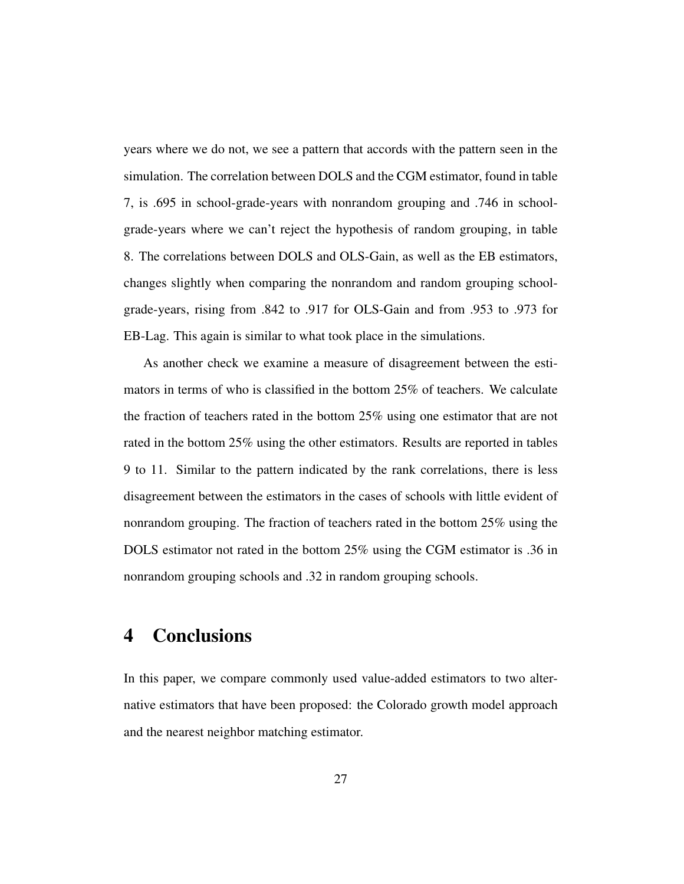years where we do not, we see a pattern that accords with the pattern seen in the simulation. The correlation between DOLS and the CGM estimator, found in table 7, is .695 in school-grade-years with nonrandom grouping and .746 in schoolgrade-years where we can't reject the hypothesis of random grouping, in table 8. The correlations between DOLS and OLS-Gain, as well as the EB estimators, changes slightly when comparing the nonrandom and random grouping schoolgrade-years, rising from .842 to .917 for OLS-Gain and from .953 to .973 for EB-Lag. This again is similar to what took place in the simulations.

As another check we examine a measure of disagreement between the estimators in terms of who is classified in the bottom 25% of teachers. We calculate the fraction of teachers rated in the bottom 25% using one estimator that are not rated in the bottom 25% using the other estimators. Results are reported in tables 9 to 11. Similar to the pattern indicated by the rank correlations, there is less disagreement between the estimators in the cases of schools with little evident of nonrandom grouping. The fraction of teachers rated in the bottom 25% using the DOLS estimator not rated in the bottom 25% using the CGM estimator is .36 in nonrandom grouping schools and .32 in random grouping schools.

# 4 Conclusions

In this paper, we compare commonly used value-added estimators to two alternative estimators that have been proposed: the Colorado growth model approach and the nearest neighbor matching estimator.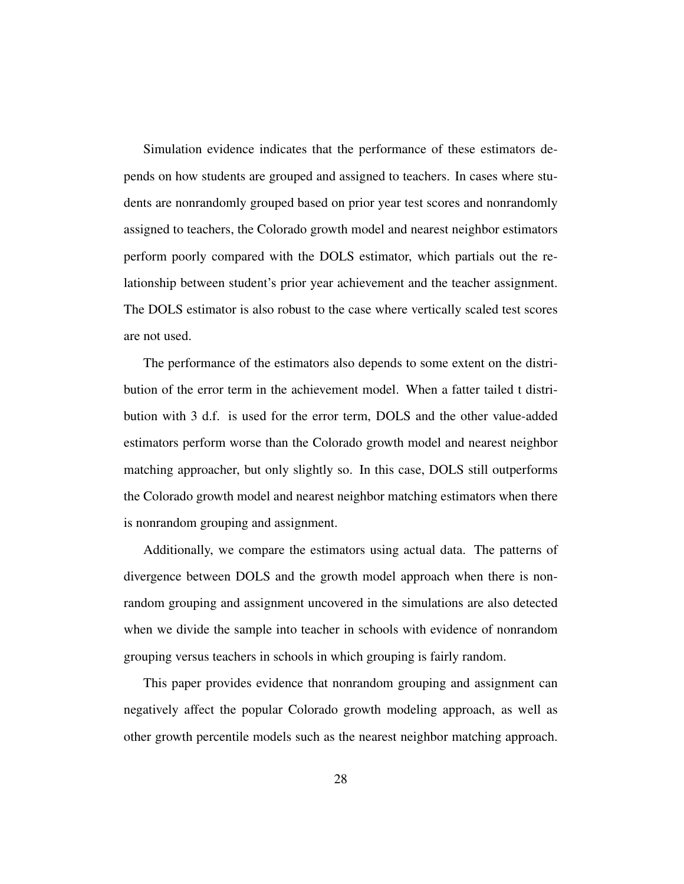Simulation evidence indicates that the performance of these estimators depends on how students are grouped and assigned to teachers. In cases where students are nonrandomly grouped based on prior year test scores and nonrandomly assigned to teachers, the Colorado growth model and nearest neighbor estimators perform poorly compared with the DOLS estimator, which partials out the relationship between student's prior year achievement and the teacher assignment. The DOLS estimator is also robust to the case where vertically scaled test scores are not used.

The performance of the estimators also depends to some extent on the distribution of the error term in the achievement model. When a fatter tailed t distribution with 3 d.f. is used for the error term, DOLS and the other value-added estimators perform worse than the Colorado growth model and nearest neighbor matching approacher, but only slightly so. In this case, DOLS still outperforms the Colorado growth model and nearest neighbor matching estimators when there is nonrandom grouping and assignment.

Additionally, we compare the estimators using actual data. The patterns of divergence between DOLS and the growth model approach when there is nonrandom grouping and assignment uncovered in the simulations are also detected when we divide the sample into teacher in schools with evidence of nonrandom grouping versus teachers in schools in which grouping is fairly random.

This paper provides evidence that nonrandom grouping and assignment can negatively affect the popular Colorado growth modeling approach, as well as other growth percentile models such as the nearest neighbor matching approach.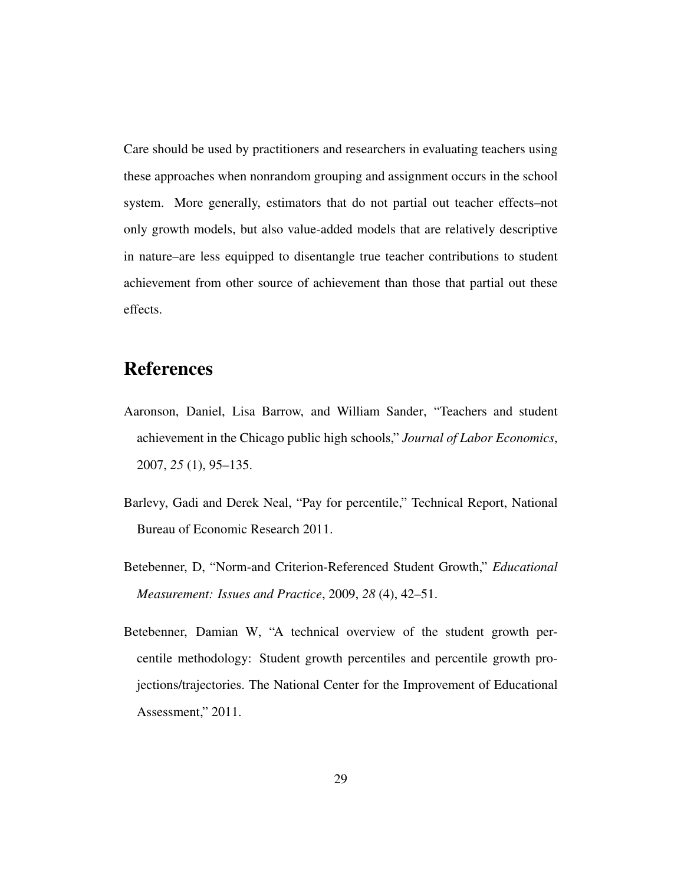Care should be used by practitioners and researchers in evaluating teachers using these approaches when nonrandom grouping and assignment occurs in the school system. More generally, estimators that do not partial out teacher effects–not only growth models, but also value-added models that are relatively descriptive in nature–are less equipped to disentangle true teacher contributions to student achievement from other source of achievement than those that partial out these effects.

## References

- Aaronson, Daniel, Lisa Barrow, and William Sander, "Teachers and student achievement in the Chicago public high schools," *Journal of Labor Economics*, 2007, *25* (1), 95–135.
- Barlevy, Gadi and Derek Neal, "Pay for percentile," Technical Report, National Bureau of Economic Research 2011.
- Betebenner, D, "Norm-and Criterion-Referenced Student Growth," *Educational Measurement: Issues and Practice*, 2009, *28* (4), 42–51.
- Betebenner, Damian W, "A technical overview of the student growth percentile methodology: Student growth percentiles and percentile growth projections/trajectories. The National Center for the Improvement of Educational Assessment," 2011.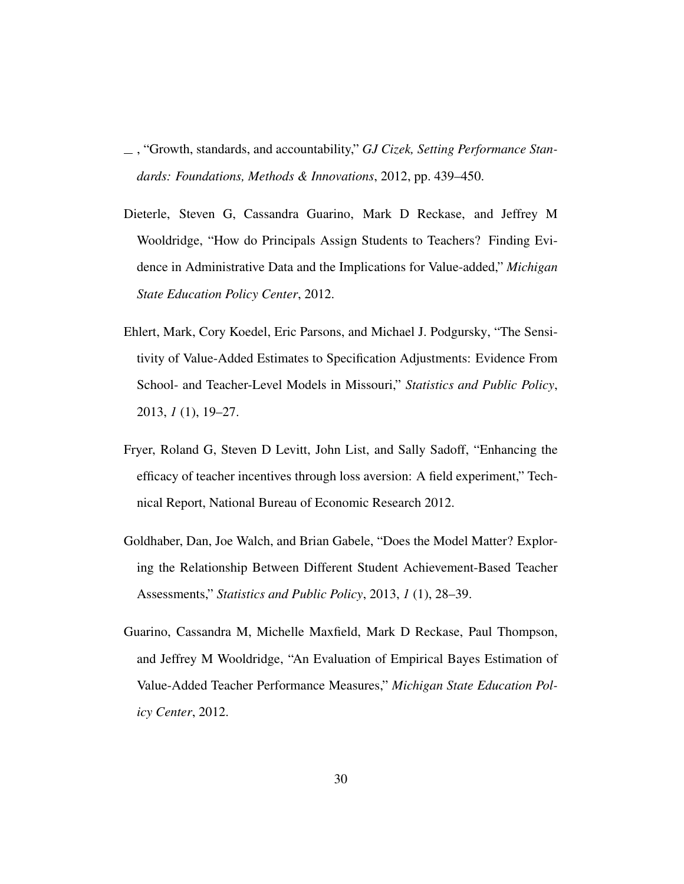- , "Growth, standards, and accountability," *GJ Cizek, Setting Performance Standards: Foundations, Methods & Innovations*, 2012, pp. 439–450.
- Dieterle, Steven G, Cassandra Guarino, Mark D Reckase, and Jeffrey M Wooldridge, "How do Principals Assign Students to Teachers? Finding Evidence in Administrative Data and the Implications for Value-added," *Michigan State Education Policy Center*, 2012.
- Ehlert, Mark, Cory Koedel, Eric Parsons, and Michael J. Podgursky, "The Sensitivity of Value-Added Estimates to Specification Adjustments: Evidence From School- and Teacher-Level Models in Missouri," *Statistics and Public Policy*, 2013, *1* (1), 19–27.
- Fryer, Roland G, Steven D Levitt, John List, and Sally Sadoff, "Enhancing the efficacy of teacher incentives through loss aversion: A field experiment," Technical Report, National Bureau of Economic Research 2012.
- Goldhaber, Dan, Joe Walch, and Brian Gabele, "Does the Model Matter? Exploring the Relationship Between Different Student Achievement-Based Teacher Assessments," *Statistics and Public Policy*, 2013, *1* (1), 28–39.
- Guarino, Cassandra M, Michelle Maxfield, Mark D Reckase, Paul Thompson, and Jeffrey M Wooldridge, "An Evaluation of Empirical Bayes Estimation of Value-Added Teacher Performance Measures," *Michigan State Education Policy Center*, 2012.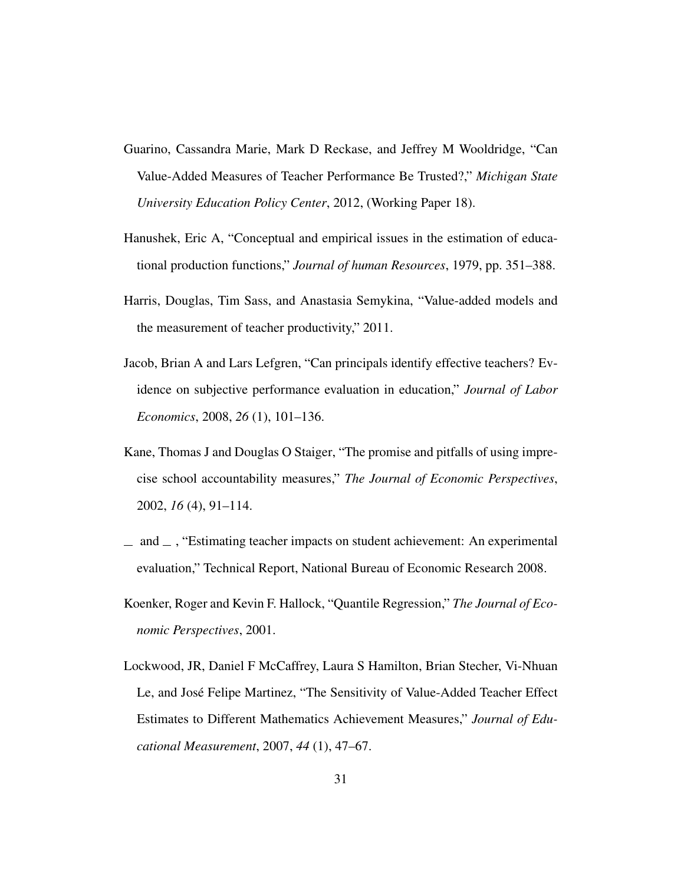- Guarino, Cassandra Marie, Mark D Reckase, and Jeffrey M Wooldridge, "Can Value-Added Measures of Teacher Performance Be Trusted?," *Michigan State University Education Policy Center*, 2012, (Working Paper 18).
- Hanushek, Eric A, "Conceptual and empirical issues in the estimation of educational production functions," *Journal of human Resources*, 1979, pp. 351–388.
- Harris, Douglas, Tim Sass, and Anastasia Semykina, "Value-added models and the measurement of teacher productivity," 2011.
- Jacob, Brian A and Lars Lefgren, "Can principals identify effective teachers? Evidence on subjective performance evaluation in education," *Journal of Labor Economics*, 2008, *26* (1), 101–136.
- Kane, Thomas J and Douglas O Staiger, "The promise and pitfalls of using imprecise school accountability measures," *The Journal of Economic Perspectives*, 2002, *16* (4), 91–114.
- $\mu$  and  $\mu$ , "Estimating teacher impacts on student achievement: An experimental evaluation," Technical Report, National Bureau of Economic Research 2008.
- Koenker, Roger and Kevin F. Hallock, "Quantile Regression," *The Journal of Economic Perspectives*, 2001.
- Lockwood, JR, Daniel F McCaffrey, Laura S Hamilton, Brian Stecher, Vi-Nhuan Le, and José Felipe Martinez, "The Sensitivity of Value-Added Teacher Effect Estimates to Different Mathematics Achievement Measures," *Journal of Educational Measurement*, 2007, *44* (1), 47–67.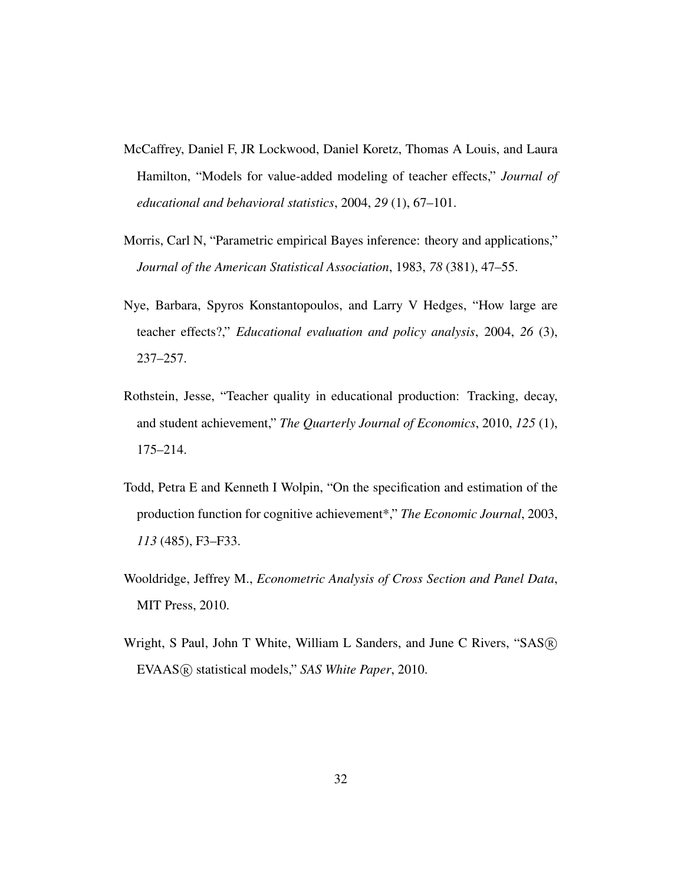- McCaffrey, Daniel F, JR Lockwood, Daniel Koretz, Thomas A Louis, and Laura Hamilton, "Models for value-added modeling of teacher effects," *Journal of educational and behavioral statistics*, 2004, *29* (1), 67–101.
- Morris, Carl N, "Parametric empirical Bayes inference: theory and applications," *Journal of the American Statistical Association*, 1983, *78* (381), 47–55.
- Nye, Barbara, Spyros Konstantopoulos, and Larry V Hedges, "How large are teacher effects?," *Educational evaluation and policy analysis*, 2004, *26* (3), 237–257.
- Rothstein, Jesse, "Teacher quality in educational production: Tracking, decay, and student achievement," *The Quarterly Journal of Economics*, 2010, *125* (1), 175–214.
- Todd, Petra E and Kenneth I Wolpin, "On the specification and estimation of the production function for cognitive achievement\*," *The Economic Journal*, 2003, *113* (485), F3–F33.
- Wooldridge, Jeffrey M., *Econometric Analysis of Cross Section and Panel Data*, MIT Press, 2010.
- Wright, S Paul, John T White, William L Sanders, and June C Rivers, "SAS <sup>R</sup> EVAAS <sup>R</sup> statistical models," *SAS White Paper*, 2010.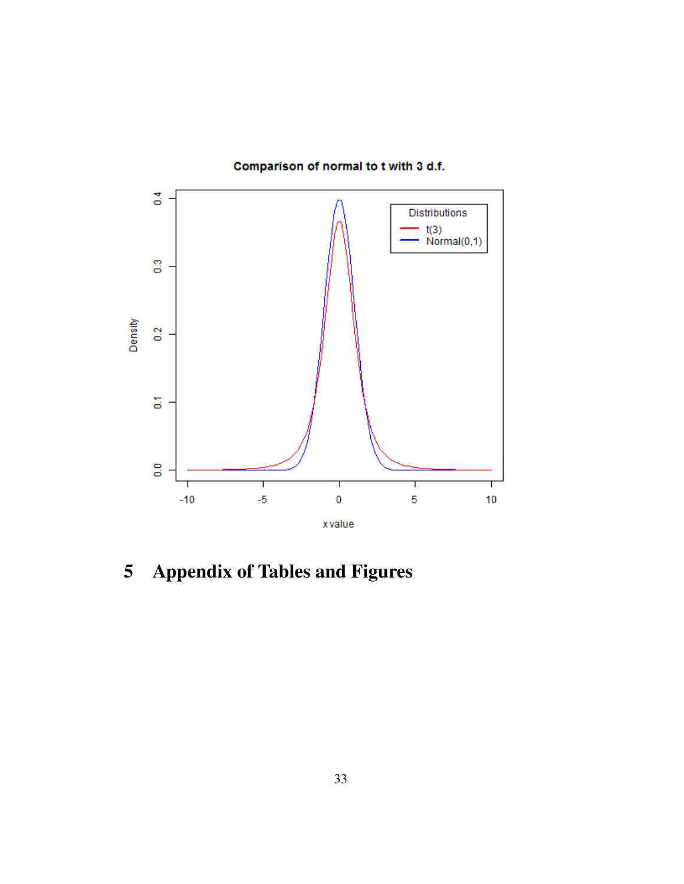

Comparison of normal to t with 3 d.f.

5 Appendix of Tables and Figures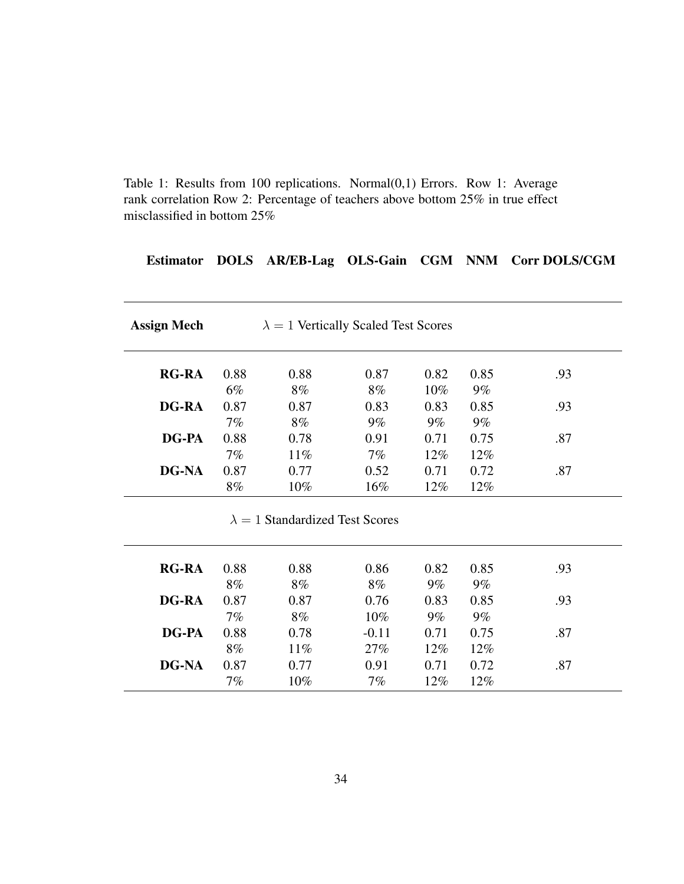Table 1: Results from 100 replications. Normal(0,1) Errors. Row 1: Average rank correlation Row 2: Percentage of teachers above bottom 25% in true effect misclassified in bottom 25%

### Estimator DOLS AR/EB-Lag OLS-Gain CGM NNM Corr DOLS/CGM

| <b>Assign Mech</b> |       | $\lambda = 1$ Vertically Scaled Test Scores |        |        |        |     |
|--------------------|-------|---------------------------------------------|--------|--------|--------|-----|
| <b>RG-RA</b>       | 0.88  | 0.88                                        | 0.87   | 0.82   | 0.85   | .93 |
|                    | $6\%$ | 8%                                          | 8%     | 10%    | $9\%$  |     |
| <b>DG-RA</b>       | 0.87  | 0.87                                        | 0.83   | 0.83   | 0.85   | .93 |
|                    | $7\%$ | $8\%$                                       | $9\%$  | $9\%$  | $9\%$  |     |
| <b>DG-PA</b>       | 0.88  | 0.78                                        | 0.91   | 0.71   | 0.75   | .87 |
|                    | $7\%$ | $11\%$                                      | $7\%$  | $12\%$ | $12\%$ |     |
| DG-NA              | 0.87  | 0.77                                        | 0.52   | 0.71   | 0.72   | .87 |
|                    | 8%    | $10\%$                                      | $16\%$ | $12\%$ | $12\%$ |     |

#### $\lambda = 1$  Standardized Test Scores

| <b>RG-RA</b> | 0.88 | 0.88   | 0.86    | 0.82  | 0.85  | .93 |
|--------------|------|--------|---------|-------|-------|-----|
|              | 8%   | 8%     | 8%      | $9\%$ | $9\%$ |     |
| <b>DG-RA</b> | 0.87 | 0.87   | 0.76    | 0.83  | 0.85  | .93 |
|              | 7%   | 8%     | 10%     | $9\%$ | $9\%$ |     |
| DG-PA        | 0.88 | 0.78   | $-0.11$ | 0.71  | 0.75  | .87 |
|              | 8%   | $11\%$ | 27%     | 12%   | 12%   |     |
| <b>DG-NA</b> | 0.87 | 0.77   | 0.91    | 0.71  | 0.72  | .87 |
|              | 7%   | 10%    | 7%      | 12%   | 12%   |     |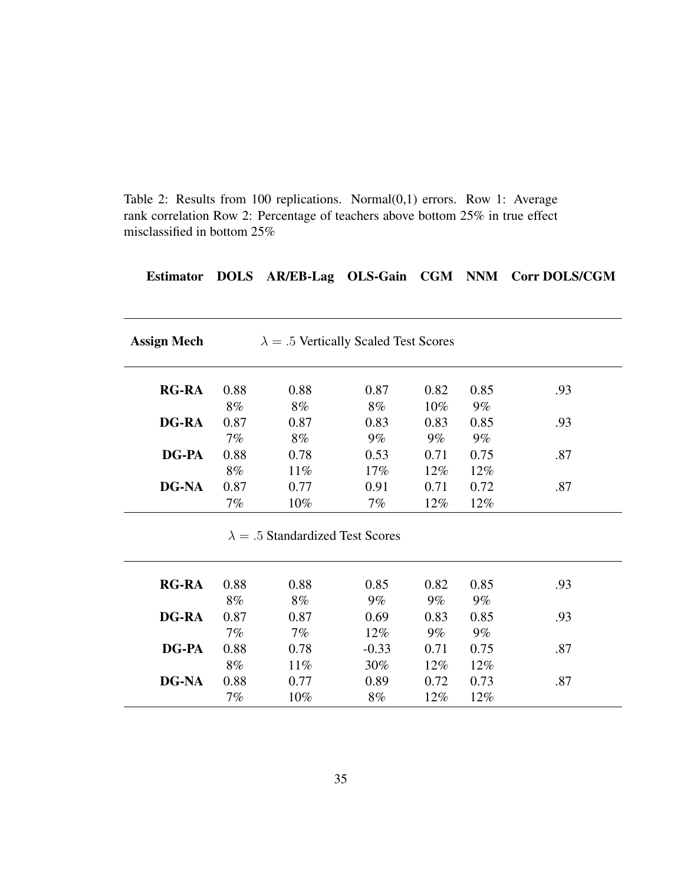Table 2: Results from 100 replications. Normal(0,1) errors. Row 1: Average rank correlation Row 2: Percentage of teachers above bottom 25% in true effect misclassified in bottom 25%

#### Estimator DOLS AR/EB-Lag OLS-Gain CGM NNM Corr DOLS/CGM

| <b>Assign Mech</b> | $\lambda = .5$ Vertically Scaled Test Scores |        |       |        |        |     |  |  |
|--------------------|----------------------------------------------|--------|-------|--------|--------|-----|--|--|
| <b>RG-RA</b>       | 0.88                                         | 0.88   | 0.87  | 0.82   | 0.85   | .93 |  |  |
|                    | 8%                                           | 8%     | 8%    | $10\%$ | $9\%$  |     |  |  |
| <b>DG-RA</b>       | 0.87                                         | 0.87   | 0.83  | 0.83   | 0.85   | .93 |  |  |
|                    | $7\%$                                        | $8\%$  | $9\%$ | $9\%$  | $9\%$  |     |  |  |
| <b>DG-PA</b>       | 0.88                                         | 0.78   | 0.53  | 0.71   | 0.75   | .87 |  |  |
|                    | 8%                                           | $11\%$ | 17%   | $12\%$ | $12\%$ |     |  |  |
| <b>DG-NA</b>       | 0.87                                         | 0.77   | 0.91  | 0.71   | 0.72   | .87 |  |  |
|                    | 7%                                           | $10\%$ | 7%    | 12%    | 12%    |     |  |  |

 $\lambda = .5$  Standardized Test Scores

| <b>RG-RA</b> | 0.88 | 0.88   | 0.85    | 0.82  | 0.85  | .93 |
|--------------|------|--------|---------|-------|-------|-----|
|              | 8%   | 8%     | $9\%$   | 9%    | $9\%$ |     |
| <b>DG-RA</b> | 0.87 | 0.87   | 0.69    | 0.83  | 0.85  | .93 |
|              | 7%   | 7%     | 12%     | $9\%$ | $9\%$ |     |
| DG-PA        | 0.88 | 0.78   | $-0.33$ | 0.71  | 0.75  | .87 |
|              | 8%   | $11\%$ | 30%     | 12%   | 12%   |     |
| <b>DG-NA</b> | 0.88 | 0.77   | 0.89    | 0.72  | 0.73  | .87 |
|              | 7%   | 10%    | 8%      | 12%   | 12%   |     |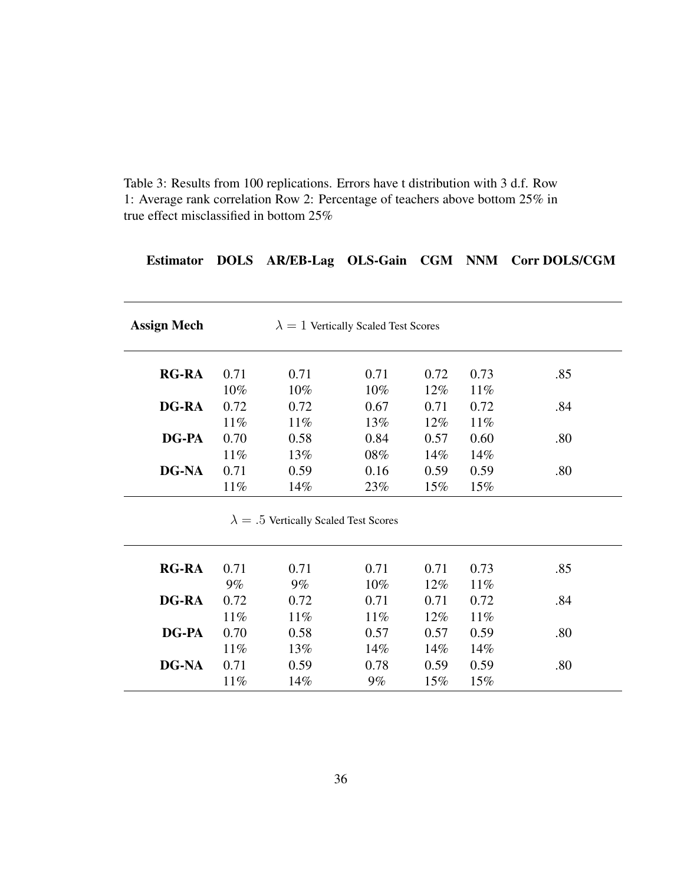Table 3: Results from 100 replications. Errors have t distribution with 3 d.f. Row 1: Average rank correlation Row 2: Percentage of teachers above bottom 25% in true effect misclassified in bottom 25%

### Estimator DOLS AR/EB-Lag OLS-Gain CGM NNM Corr DOLS/CGM

| <b>RG-RA</b> | 0.71   | 0.71   | 0.71   | 0.72   | 0.73   | .85 |
|--------------|--------|--------|--------|--------|--------|-----|
|              | $10\%$ | $10\%$ | $10\%$ | $12\%$ | $11\%$ |     |
| <b>DG-RA</b> | 0.72   | 0.72   | 0.67   | 0.71   | 0.72   | .84 |
|              | $11\%$ | $11\%$ | 13%    | $12\%$ | 11%    |     |
| <b>DG-PA</b> | 0.70   | 0.58   | 0.84   | 0.57   | 0.60   | .80 |
|              | $11\%$ | 13%    | 08%    | $14\%$ | 14%    |     |
| <b>DG-NA</b> | 0.71   | 0.59   | 0.16   | 0.59   | 0.59   | .80 |
|              | $11\%$ | 14%    | 23%    | $15\%$ | $15\%$ |     |

| <b>RG-RA</b> | 0.71           | 0.71           | 0.71        | 0.71           | 0.73           | .85 |
|--------------|----------------|----------------|-------------|----------------|----------------|-----|
| <b>DG-RA</b> | $9\%$<br>0.72  | 9%<br>0.72     | 10%<br>0.71 | 12%<br>0.71    | $11\%$<br>0.72 | .84 |
| <b>DG-PA</b> | $11\%$<br>0.70 | $11\%$<br>0.58 | 11%<br>0.57 | $12\%$<br>0.57 | $11\%$<br>0.59 | .80 |
|              | $11\%$         | 13%            | 14%         | 14%            | 14%            |     |
| <b>DG-NA</b> | 0.71<br>11%    | 0.59<br>14%    | 0.78<br>9%  | 0.59<br>15%    | 0.59<br>15%    | .80 |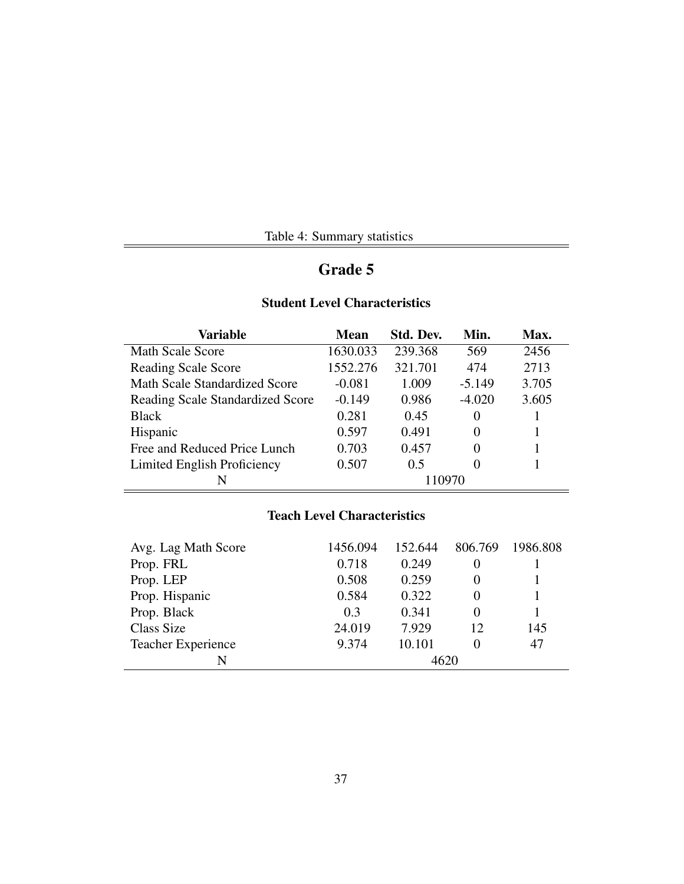| Table 4: Summary statistics |  |
|-----------------------------|--|
|                             |  |

## Grade 5

## Student Level Characteristics

| Variable                                | <b>Mean</b> | Std. Dev. | Min.     | Max.  |
|-----------------------------------------|-------------|-----------|----------|-------|
| <b>Math Scale Score</b>                 | 1630.033    | 239.368   | 569      | 2456  |
| <b>Reading Scale Score</b>              | 1552.276    | 321.701   | 474      | 2713  |
| <b>Math Scale Standardized Score</b>    | $-0.081$    | 1.009     | $-5.149$ | 3.705 |
| <b>Reading Scale Standardized Score</b> | $-0.149$    | 0.986     | $-4.020$ | 3.605 |
| <b>Black</b>                            | 0.281       | 0.45      | $\Omega$ |       |
| Hispanic                                | 0.597       | 0.491     | $\Omega$ |       |
| Free and Reduced Price Lunch            | 0.703       | 0.457     | $\theta$ |       |
| Limited English Proficiency             | 0.507       | 0.5       | 0        |       |
| N                                       |             | 110970    |          |       |

## Teach Level Characteristics

| Avg. Lag Math Score       | 1456.094 | 152.644 | 806.769 | 1986.808 |  |
|---------------------------|----------|---------|---------|----------|--|
| Prop. FRL                 | 0.718    | 0.249   |         |          |  |
| Prop. LEP                 | 0.508    | 0.259   |         |          |  |
| Prop. Hispanic            | 0.584    | 0.322   |         |          |  |
| Prop. Black               | 0.3      | 0.341   |         |          |  |
| Class Size                | 24.019   | 7.929   | 12      | 145      |  |
| <b>Teacher Experience</b> | 9.374    | 10.101  |         | 47       |  |
| N                         | 4620     |         |         |          |  |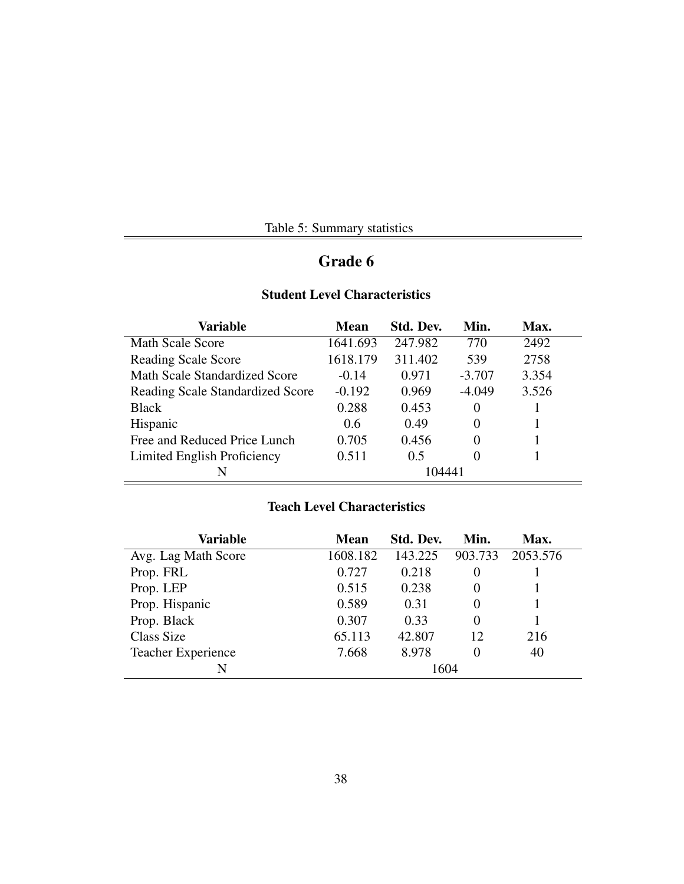|  | Table 5: Summary statistics |  |
|--|-----------------------------|--|
|--|-----------------------------|--|

÷

# Grade 6

 $=$ 

### Student Level Characteristics

| Variable                                | <b>Mean</b> | Std. Dev. | Min.     | Max.  |
|-----------------------------------------|-------------|-----------|----------|-------|
| Math Scale Score                        | 1641.693    | 247.982   | 770      | 2492  |
| <b>Reading Scale Score</b>              | 1618.179    | 311.402   | 539      | 2758  |
| <b>Math Scale Standardized Score</b>    | $-0.14$     | 0.971     | $-3.707$ | 3.354 |
| <b>Reading Scale Standardized Score</b> | $-0.192$    | 0.969     | $-4.049$ | 3.526 |
| <b>Black</b>                            | 0.288       | 0.453     | $\Omega$ |       |
| Hispanic                                | 0.6         | 0.49      | 0        |       |
| Free and Reduced Price Lunch            | 0.705       | 0.456     | $\Omega$ |       |
| Limited English Proficiency             | 0.511       | 0.5       | 0        |       |
| N                                       |             | 104441    |          |       |

## Teach Level Characteristics

| Variable                  | <b>Mean</b> | Std. Dev. | Min.     | Max.     |
|---------------------------|-------------|-----------|----------|----------|
| Avg. Lag Math Score       | 1608.182    | 143.225   | 903.733  | 2053.576 |
| Prop. FRL                 | 0.727       | 0.218     | 0        |          |
| Prop. LEP                 | 0.515       | 0.238     | $\theta$ |          |
| Prop. Hispanic            | 0.589       | 0.31      | $\theta$ |          |
| Prop. Black               | 0.307       | 0.33      | $\Omega$ |          |
| Class Size                | 65.113      | 42.807    | 12       | 216      |
| <b>Teacher Experience</b> | 7.668       | 8.978     | 0        | 40       |
| N                         |             | 1604      |          |          |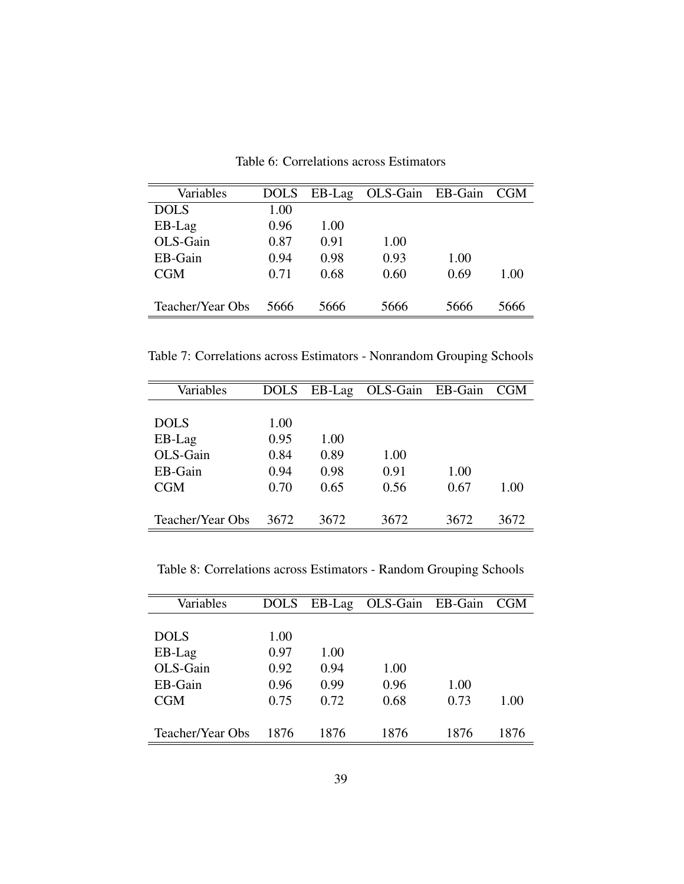| Variables        | <b>DOLS</b> | $EB-Lag$ | OLS-Gain EB-Gain CGM |      |      |
|------------------|-------------|----------|----------------------|------|------|
| <b>DOLS</b>      | 1.00        |          |                      |      |      |
| EB-Lag           | 0.96        | 1.00     |                      |      |      |
| OLS-Gain         | 0.87        | 0.91     | 1.00                 |      |      |
| EB-Gain          | 0.94        | 0.98     | 0.93                 | 1.00 |      |
| CGM              | 0.71        | 0.68     | 0.60                 | 0.69 | 1.00 |
|                  |             |          |                      |      |      |
| Teacher/Year Obs | 5666        | 5666     | 5666                 | 5666 | 5666 |

Table 6: Correlations across Estimators

Table 7: Correlations across Estimators - Nonrandom Grouping Schools

| Variables        | DOLS | EB-Lag | OLS-Gain EB-Gain |      | <b>CGM</b> |
|------------------|------|--------|------------------|------|------------|
|                  |      |        |                  |      |            |
| <b>DOLS</b>      | 1.00 |        |                  |      |            |
| EB-Lag           | 0.95 | 1.00   |                  |      |            |
| OLS-Gain         | 0.84 | 0.89   | 1.00             |      |            |
| EB-Gain          | 0.94 | 0.98   | 0.91             | 1.00 |            |
| <b>CGM</b>       | 0.70 | 0.65   | 0.56             | 0.67 | 1.00       |
|                  |      |        |                  |      |            |
| Teacher/Year Obs | 3672 | 3672   | 3672             | 3672 | 3672       |

Table 8: Correlations across Estimators - Random Grouping Schools

| Variables        | <b>DOLS</b> | EB-Lag | OLS-Gain EB-Gain |      | <b>CGM</b> |
|------------------|-------------|--------|------------------|------|------------|
|                  |             |        |                  |      |            |
| <b>DOLS</b>      | 1.00        |        |                  |      |            |
| EB-Lag           | 0.97        | 1.00   |                  |      |            |
| OLS-Gain         | 0.92        | 0.94   | 1.00             |      |            |
| EB-Gain          | 0.96        | 0.99   | 0.96             | 1.00 |            |
| <b>CGM</b>       | 0.75        | 0.72   | 0.68             | 0.73 | 1.00       |
|                  |             |        |                  |      |            |
| Teacher/Year Obs | 1876        | 1876   | 1876             | 1876 | 1876       |